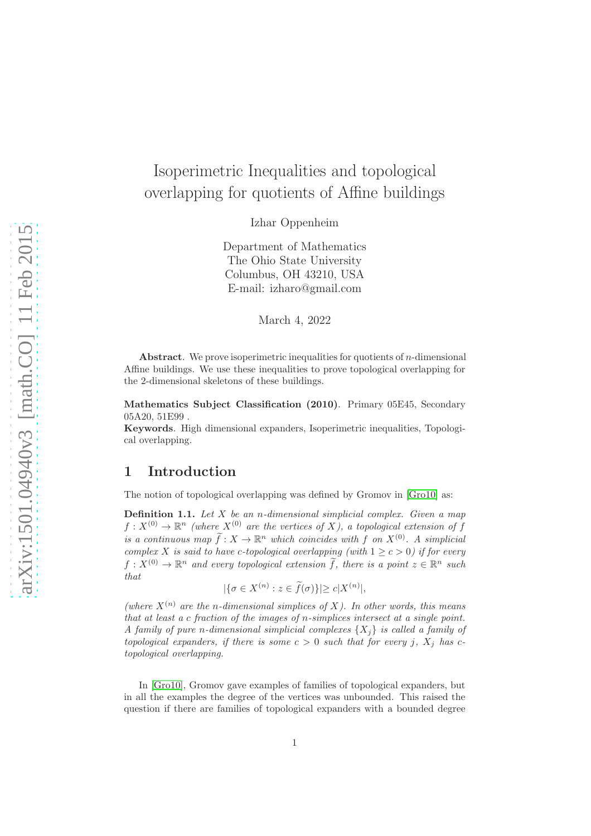# Isoperimetric Inequalities and topological overlapping for quotients of Affine buildings

Izhar Oppenheim

Department of Mathematics The Ohio State University Columbus, OH 43210, USA E-mail: izharo@gmail.com

March 4, 2022

**Abstract.** We prove isoperimetric inequalities for quotients of *n*-dimensional Affine buildings. We use these inequalities to prove topological overlapping for the 2-dimensional skeletons of these buildings.

Mathematics Subject Classification (2010). Primary 05E45, Secondary 05A20, 51E99 .

Keywords. High dimensional expanders, Isoperimetric inequalities, Topological overlapping.

### 1 Introduction

The notion of topological overlapping was defined by Gromov in [\[Gro10\]](#page-39-0) as:

**Definition 1.1.** Let  $X$  be an n-dimensional simplicial complex. Given a map  $f: X^{(0)} \to \mathbb{R}^n$  (where  $X^{(0)}$  are the vertices of X), a topological extension of f is a continuous map  $f: X \to \mathbb{R}^n$  which coincides with f on  $X^{(0)}$ . A simplicial complex X is said to have c-topological overlapping (with  $1 \geq c > 0$ ) if for every  $f: X^{(0)} \to \mathbb{R}^n$  and every topological extension  $\tilde{f}$ , there is a point  $z \in \mathbb{R}^n$  such that

$$
|\{\sigma \in X^{(n)} : z \in \tilde{f}(\sigma)\}| \ge c|X^{(n)}|,
$$

(where  $X^{(n)}$  are the n-dimensional simplices of X). In other words, this means that at least a c fraction of the images of n-simplices intersect at a single point. A family of pure n-dimensional simplicial complexes  $\{X_i\}$  is called a family of topological expanders, if there is some  $c > 0$  such that for every j,  $X_i$  has ctopological overlapping.

In [\[Gro10\]](#page-39-0), Gromov gave examples of families of topological expanders, but in all the examples the degree of the vertices was unbounded. This raised the question if there are families of topological expanders with a bounded degree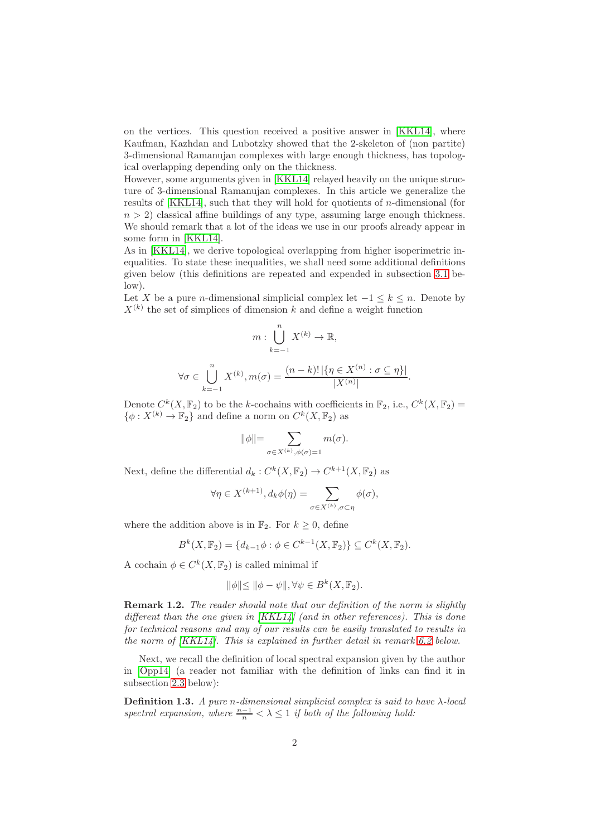on the vertices. This question received a positive answer in [\[KKL14\]](#page-39-1), where Kaufman, Kazhdan and Lubotzky showed that the 2-skeleton of (non partite) 3-dimensional Ramanujan complexes with large enough thickness, has topological overlapping depending only on the thickness.

However, some arguments given in [\[KKL14\]](#page-39-1) relayed heavily on the unique structure of 3-dimensional Ramanujan complexes. In this article we generalize the results of [\[KKL14\]](#page-39-1), such that they will hold for quotients of *n*-dimensional (for  $n > 2$ ) classical affine buildings of any type, assuming large enough thickness. We should remark that a lot of the ideas we use in our proofs already appear in some form in [\[KKL14\]](#page-39-1).

As in [\[KKL14\]](#page-39-1), we derive topological overlapping from higher isoperimetric inequalities. To state these inequalities, we shall need some additional definitions given below (this definitions are repeated and expended in subsection [3.1](#page-8-0) below).

Let X be a pure n-dimensional simplicial complex let  $-1 \leq k \leq n$ . Denote by  $X^{(k)}$  the set of simplices of dimension k and define a weight function

$$
m: \bigcup_{k=-1}^{n} X^{(k)} \to \mathbb{R},
$$
  

$$
\forall \sigma \in \bigcup_{k=-1}^{n} X^{(k)}, m(\sigma) = \frac{(n-k)! \left| \{ \eta \in X^{(n)} : \sigma \subseteq \eta \} \right|}{|X^{(n)}|}.
$$

Denote  $C^k(X, \mathbb{F}_2)$  to be the k-cochains with coefficients in  $\mathbb{F}_2$ , i.e.,  $C^k(X, \mathbb{F}_2)$  =  $\{\phi: X^{(k)} \to \mathbb{F}_2\}$  and define a norm on  $C^k(X, \mathbb{F}_2)$  as

$$
\|\phi\|{=}\sum_{\sigma\in X^{(k)},\phi(\sigma) = 1} m(\sigma).
$$

Next, define the differential  $d_k: C^k(X, \mathbb{F}_2) \to C^{k+1}(X, \mathbb{F}_2)$  as

$$
\forall \eta \in X^{(k+1)}, d_k \phi(\eta) = \sum_{\sigma \in X^{(k)}, \sigma \subset \eta} \phi(\sigma),
$$

where the addition above is in  $\mathbb{F}_2$ . For  $k \geq 0$ , define

$$
B^{k}(X, \mathbb{F}_2) = \{d_{k-1}\phi : \phi \in C^{k-1}(X, \mathbb{F}_2)\} \subseteq C^{k}(X, \mathbb{F}_2).
$$

A cochain  $\phi \in C^k(X, \mathbb{F}_2)$  is called minimal if

$$
\|\phi\| \le \|\phi - \psi\|, \forall \psi \in B^k(X, \mathbb{F}_2).
$$

Remark 1.2. The reader should note that our definition of the norm is slightly different than the one given in  $|KKL14|$  (and in other references). This is done for technical reasons and any of our results can be easily translated to results in the norm of [\[KKL14\]](#page-39-1). This is explained in further detail in remark [6.2](#page-15-0) below.

Next, we recall the definition of local spectral expansion given by the author in [\[Opp14\]](#page-39-2) (a reader not familiar with the definition of links can find it in subsection [2.3](#page-7-0) below):

**Definition 1.3.** A pure n-dimensional simplicial complex is said to have  $\lambda$ -local spectral expansion, where  $\frac{n-1}{n} < \lambda \leq 1$  if both of the following hold: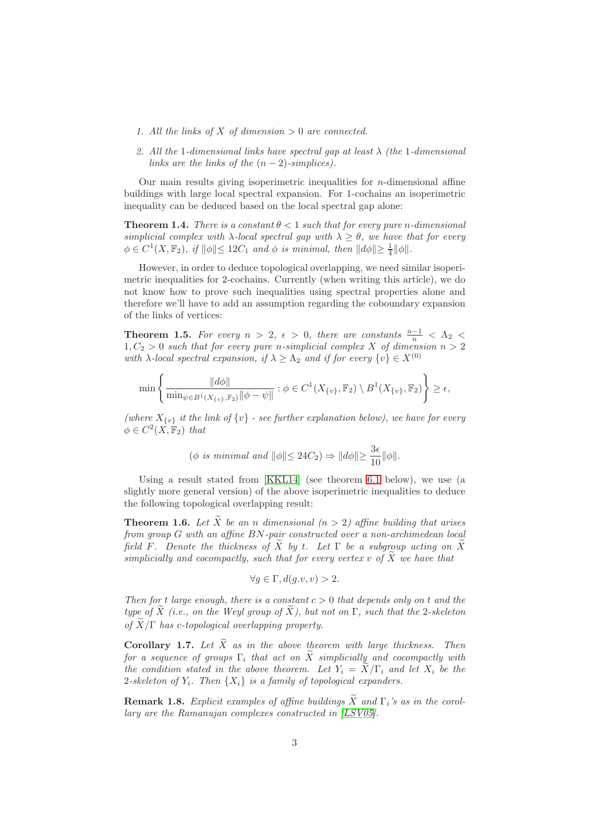- 1. All the links of X of dimension  $> 0$  are connected.
- 2. All the 1-dimensional links have spectral gap at least  $\lambda$  (the 1-dimensional links are the links of the  $(n-2)$ -simplices).

Our main results giving isoperimetric inequalities for  $n$ -dimensional affine buildings with large local spectral expansion. For 1-cochains an isoperimetric inequality can be deduced based on the local spectral gap alone:

<span id="page-2-0"></span>**Theorem 1.4.** There is a constant  $\theta < 1$  such that for every pure n-dimensional simplicial complex with  $\lambda$ -local spectral gap with  $\lambda > \theta$ , we have that for every  $\phi \in C^1(X, \mathbb{F}_2)$ , if  $\|\phi\| \leq 12C_1$  and  $\phi$  is minimal, then  $\|d\phi\| \geq \frac{1}{4} \|\phi\|$ .

However, in order to deduce topological overlapping, we need similar isoperimetric inequalities for 2-cochains. Currently (when writing this article), we do not know how to prove such inequalities using spectral properties alone and therefore we'll have to add an assumption regarding the coboundary expansion of the links of vertices:

**Theorem 1.5.** For every  $n > 2$ ,  $\epsilon > 0$ , there are constants  $\frac{n-1}{n} < \Lambda_2 <$  $1, C_2 > 0$  such that for every pure n-simplicial complex X of dimension  $n > 2$ with  $\lambda$ -local spectral expansion, if  $\lambda \geq \Lambda_2$  and if for every  $\{v\} \in X^{(0)}$ 

$$
\min\left\{\frac{\|d\phi\|}{\min_{\psi\in B^1(X_{\{v\}},\mathbb{F}_2)}\|\phi-\psi\|}:\phi\in C^1(X_{\{v\}},\mathbb{F}_2)\setminus B^1(X_{\{v\}},\mathbb{F}_2)\right\}\geq\epsilon,
$$

(where  $X_{\{v\}}$  it the link of  $\{v\}$  - see further explanation below), we have for every  $\phi \in C^2(X, \mathbb{F}_2)$  that

$$
(\phi \text{ is minimal and } ||\phi|| \leq 24C_2) \Rightarrow ||d\phi|| \geq \frac{3\epsilon}{10} ||\phi||.
$$

Using a result stated from [\[KKL14\]](#page-39-1) (see theorem [6.1](#page-15-1) below), we use (a slightly more general version) of the above isoperimetric inequalities to deduce the following topological overlapping result:

**Theorem 1.6.** Let  $\widetilde{X}$  be an n dimensional (n > 2) affine building that arises from group G with an affine BN-pair constructed over a non-archimedean local field F. Denote the thickness of X by t. Let  $\Gamma$  be a subgroup acting on X simplicially and cocompactly, such that for every vertex v of  $\widetilde{X}$  we have that

$$
\forall g \in \Gamma, d(g.v, v) > 2.
$$

Then for t large enough, there is a constant  $c > 0$  that depends only on t and the type of  $\widetilde{X}$  (i.e., on the Weyl group of  $\widetilde{X}$ ), but not on  $\Gamma$ , such that the 2-skeleton of  $\widetilde{X}/\Gamma$  has c-topological overlapping property.

**Corollary 1.7.** Let  $\widetilde{X}$  as in the above theorem with large thickness. Then for a sequence of groups  $\Gamma_i$  that act on  $\tilde{X}$  simplicially and cocompactly with the condition stated in the above theorem. Let  $Y_i = \overline{X}/\Gamma_i$  and let  $X_i$  be the 2-skeleton of  $Y_i$ . Then  $\{X_i\}$  is a family of topological expanders.

**Remark 1.8.** Explicit examples of affine buildings  $\widetilde{X}$  and  $\Gamma_i$ 's as in the corollary are the Ramanujan complexes constructed in [\[LSV05\]](#page-39-3).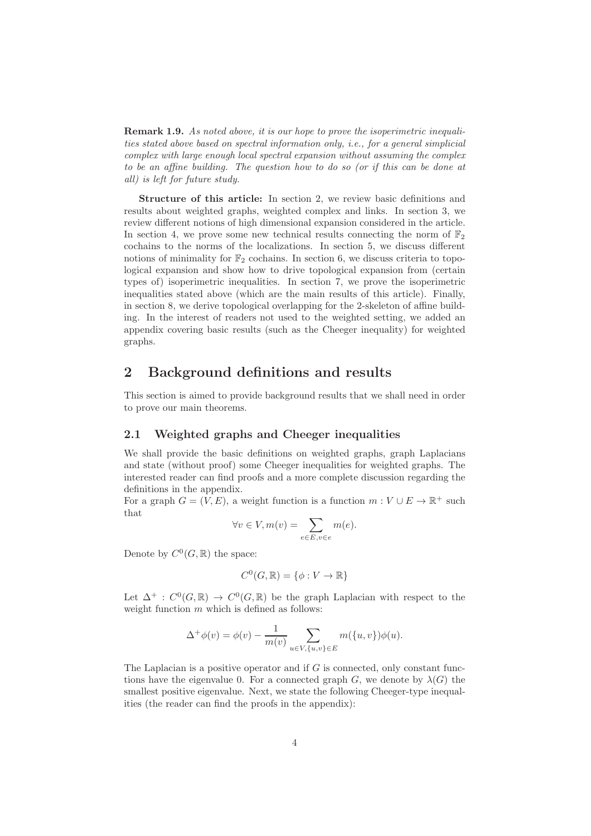**Remark 1.9.** As noted above, it is our hope to prove the isoperimetric inequalities stated above based on spectral information only, i.e., for a general simplicial complex with large enough local spectral expansion without assuming the complex to be an affine building. The question how to do so (or if this can be done at all) is left for future study.

Structure of this article: In section 2, we review basic definitions and results about weighted graphs, weighted complex and links. In section 3, we review different notions of high dimensional expansion considered in the article. In section 4, we prove some new technical results connecting the norm of  $\mathbb{F}_2$ cochains to the norms of the localizations. In section 5, we discuss different notions of minimality for  $\mathbb{F}_2$  cochains. In section 6, we discuss criteria to topological expansion and show how to drive topological expansion from (certain types of) isoperimetric inequalities. In section 7, we prove the isoperimetric inequalities stated above (which are the main results of this article). Finally, in section 8, we derive topological overlapping for the 2-skeleton of affine building. In the interest of readers not used to the weighted setting, we added an appendix covering basic results (such as the Cheeger inequality) for weighted graphs.

# 2 Background definitions and results

This section is aimed to provide background results that we shall need in order to prove our main theorems.

#### 2.1 Weighted graphs and Cheeger inequalities

We shall provide the basic definitions on weighted graphs, graph Laplacians and state (without proof) some Cheeger inequalities for weighted graphs. The interested reader can find proofs and a more complete discussion regarding the definitions in the appendix.

For a graph  $G = (V, E)$ , a weight function is a function  $m : V \cup E \to \mathbb{R}^+$  such that

$$
\forall v \in V, m(v) = \sum_{e \in E, v \in e} m(e).
$$

Denote by  $C^0(G,\mathbb{R})$  the space:

$$
C^0(G, \mathbb{R}) = \{ \phi : V \to \mathbb{R} \}
$$

Let  $\Delta^+$ :  $C^0(G,\mathbb{R}) \to C^0(G,\mathbb{R})$  be the graph Laplacian with respect to the weight function  $m$  which is defined as follows:

$$
\Delta^+ \phi(v) = \phi(v) - \frac{1}{m(v)} \sum_{u \in V, \{u, v\} \in E} m(\{u, v\}) \phi(u).
$$

<span id="page-3-0"></span>The Laplacian is a positive operator and if  $G$  is connected, only constant functions have the eigenvalue 0. For a connected graph G, we denote by  $\lambda(G)$  the smallest positive eigenvalue. Next, we state the following Cheeger-type inequalities (the reader can find the proofs in the appendix):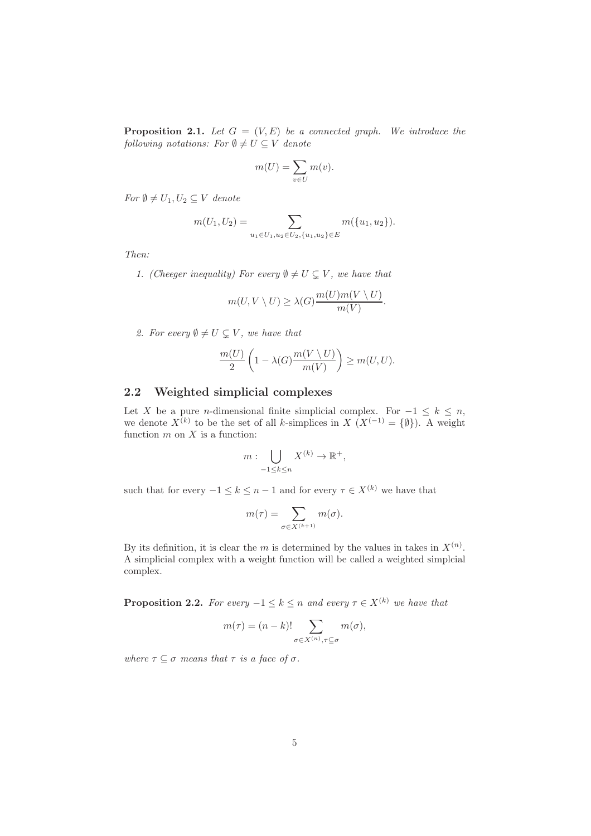**Proposition 2.1.** Let  $G = (V, E)$  be a connected graph. We introduce the following notations: For  $\emptyset \neq U \subseteq V$  denote

$$
m(U) = \sum_{v \in U} m(v).
$$

For  $\emptyset \neq U_1, U_2 \subseteq V$  denote

$$
m(U_1, U_2) = \sum_{u_1 \in U_1, u_2 \in U_2, \{u_1, u_2\} \in E} m(\{u_1, u_2\}).
$$

Then:

1. (Cheeger inequality) For every  $\emptyset \neq U \subsetneq V$ , we have that

$$
m(U, V \setminus U) \ge \lambda(G) \frac{m(U)m(V \setminus U)}{m(V)}.
$$

2. For every  $\emptyset \neq U \subseteq V$ , we have that

$$
\frac{m(U)}{2}\left(1-\lambda(G)\frac{m(V\setminus U)}{m(V)}\right)\geq m(U,U).
$$

### 2.2 Weighted simplicial complexes

Let X be a pure n-dimensional finite simplicial complex. For  $-1 \leq k \leq n$ , we denote  $X^{(k)}$  to be the set of all k-simplices in  $X(X^{(-1)} = \{\emptyset\})$ . A weight function  $m$  on  $X$  is a function:

$$
m: \bigcup_{-1 \leq k \leq n} X^{(k)} \to \mathbb{R}^+,
$$

such that for every  $-1 \leq k \leq n-1$  and for every  $\tau \in X^{(k)}$  we have that

$$
m(\tau) = \sum_{\sigma \in X^{(k+1)}} m(\sigma).
$$

By its definition, it is clear the m is determined by the values in takes in  $X^{(n)}$ . A simplicial complex with a weight function will be called a weighted simplcial complex.

**Proposition 2.2.** For every  $-1 \leq k \leq n$  and every  $\tau \in X^{(k)}$  we have that

$$
m(\tau) = (n - k)! \sum_{\sigma \in X^{(n)}, \tau \subseteq \sigma} m(\sigma),
$$

where  $\tau \subset \sigma$  means that  $\tau$  is a face of  $\sigma$ .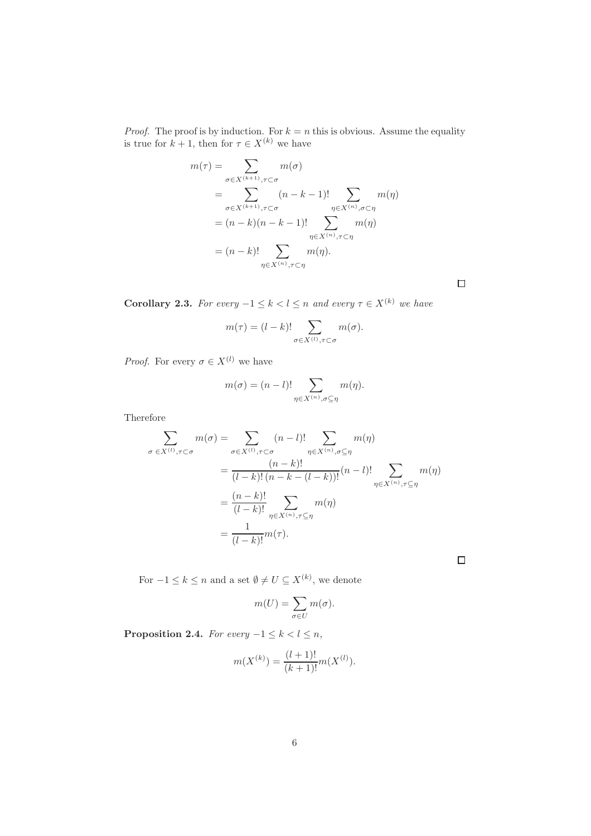*Proof.* The proof is by induction. For  $k = n$  this is obvious. Assume the equality is true for  $k + 1$ , then for  $\tau \in X^{(k)}$  we have

$$
m(\tau) = \sum_{\sigma \in X^{(k+1)}, \tau \subset \sigma} m(\sigma)
$$
  
= 
$$
\sum_{\sigma \in X^{(k+1)}, \tau \subset \sigma} (n - k - 1)!\sum_{\eta \in X^{(n)}, \sigma \subset \eta} m(\eta)
$$
  
= 
$$
(n - k)(n - k - 1)!\sum_{\eta \in X^{(n)}, \tau \subset \eta} m(\eta)
$$
  
= 
$$
(n - k)!\sum_{\eta \in X^{(n)}, \tau \subset \eta} m(\eta).
$$

<span id="page-5-0"></span>Corollary 2.3. For every  $-1 \leq k < l \leq n$  and every  $\tau \in X^{(k)}$  we have

$$
m(\tau) = (l - k)! \sum_{\sigma \in X^{(l)}, \tau \subset \sigma} m(\sigma).
$$

*Proof.* For every  $\sigma \in X^{(l)}$  we have

$$
m(\sigma) = (n-l)! \sum_{\eta \in X^{(n)}, \sigma \subseteq \eta} m(\eta).
$$

Therefore

$$
\sum_{\sigma \in X^{(l)}, \tau \subset \sigma} m(\sigma) = \sum_{\sigma \in X^{(l)}, \tau \subset \sigma} (n-l)! \sum_{\eta \in X^{(n)}, \sigma \subseteq \eta} m(\eta)
$$

$$
= \frac{(n-k)!}{(l-k)!(n-k-(l-k))!} (n-l)! \sum_{\eta \in X^{(n)}, \tau \subseteq \eta} m(\eta)
$$

$$
= \frac{(n-k)!}{(l-k)!} \sum_{\eta \in X^{(n)}, \tau \subseteq \eta} m(\eta)
$$

$$
= \frac{1}{(l-k)!} m(\tau).
$$

For  $-1 \leq k \leq n$  and a set  $\emptyset \neq U \subseteq X^{(k)}$ , we denote

$$
m(U) = \sum_{\sigma \in U} m(\sigma).
$$

<span id="page-5-1"></span>Proposition 2.4. For every  $-1 \leq k < l \leq n$ ,

$$
m(X^{(k)}) = \frac{(l+1)!}{(k+1)!}m(X^{(l)}).
$$

 $\Box$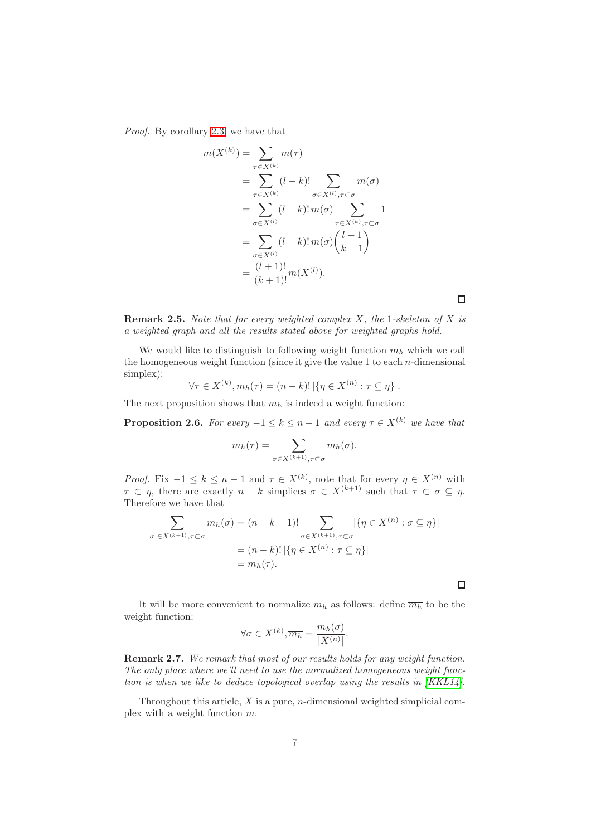Proof. By corollary [2.3,](#page-5-0) we have that

$$
m(X^{(k)}) = \sum_{\tau \in X^{(k)}} m(\tau)
$$
  
= 
$$
\sum_{\tau \in X^{(k)}} (l - k)! \sum_{\sigma \in X^{(l)}, \tau \subset \sigma} m(\sigma)
$$
  
= 
$$
\sum_{\sigma \in X^{(l)}} (l - k)! m(\sigma) \sum_{\tau \in X^{(k)}, \tau \subset \sigma} 1
$$
  
= 
$$
\sum_{\sigma \in X^{(l)}} (l - k)! m(\sigma) {l + 1 \choose k + 1}
$$
  
= 
$$
\frac{(l + 1)!}{(k + 1)!} m(X^{(l)}).
$$

<span id="page-6-0"></span>**Remark 2.5.** Note that for every weighted complex  $X$ , the 1-skeleton of  $X$  is a weighted graph and all the results stated above for weighted graphs hold.

We would like to distinguish to following weight function  $m_h$  which we call the homogeneous weight function (since it give the value 1 to each  $n$ -dimensional simplex):  $\lambda$  $(1)$ 

$$
\forall \tau \in X^{(k)}, m_h(\tau) = (n-k)! \, |\{\eta \in X^{(n)} : \tau \subseteq \eta\}|.
$$

The next proposition shows that  $m_h$  is indeed a weight function:

**Proposition 2.6.** For every  $-1 \le k \le n-1$  and every  $\tau \in X^{(k)}$  we have that

$$
m_h(\tau) = \sum_{\sigma \in X^{(k+1)}, \tau \subset \sigma} m_h(\sigma).
$$

*Proof.* Fix  $-1 \leq k \leq n-1$  and  $\tau \in X^{(k)}$ , note that for every  $\eta \in X^{(n)}$  with  $\tau \subset \eta$ , there are exactly  $n - k$  simplices  $\sigma \in X^{(k+1)}$  such that  $\tau \subset \sigma \subseteq \eta$ . Therefore we have that

$$
\sum_{\sigma \in X^{(k+1)}, \tau \subset \sigma} m_h(\sigma) = (n - k - 1)! \sum_{\sigma \in X^{(k+1)}, \tau \subset \sigma} |\{\eta \in X^{(n)} : \sigma \subseteq \eta\}|
$$

$$
= (n - k)! |\{\eta \in X^{(n)} : \tau \subseteq \eta\}|
$$

$$
= m_h(\tau).
$$

It will be more convenient to normalize  $m_h$  as follows: define  $\overline{m_h}$  to be the weight function:

$$
\forall \sigma \in X^{(k)}, \overline{m_h} = \frac{m_h(\sigma)}{|X^{(n)}|}.
$$

Remark 2.7. We remark that most of our results holds for any weight function. The only place where we'll need to use the normalized homogeneous weight function is when we like to deduce topological overlap using the results in [\[KKL14\]](#page-39-1).

Throughout this article,  $X$  is a pure, *n*-dimensional weighted simplicial complex with a weight function m.

 $\Box$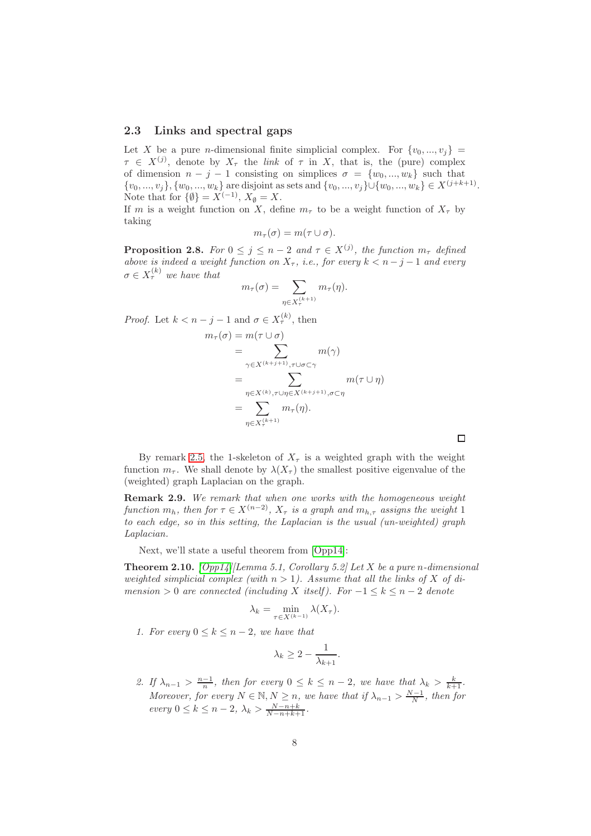#### <span id="page-7-0"></span>2.3 Links and spectral gaps

Let X be a pure *n*-dimensional finite simplicial complex. For  $\{v_0, ..., v_i\}$  =  $\tau \in X^{(j)}$ , denote by  $X_{\tau}$  the *link* of  $\tau$  in X, that is, the (pure) complex of dimension  $n - j - 1$  consisting on simplices  $\sigma = \{w_0, ..., w_k\}$  such that  $\{v_0, ..., v_j\}, \{w_0, ..., w_k\}$  are disjoint as sets and  $\{v_0, ..., v_j\} \cup \{w_0, ..., w_k\} \in X^{(j+k+1)}$ . Note that for  $\{\emptyset\} = X^{(-1)}, X_{\emptyset} = X.$ 

If m is a weight function on X, define  $m<sub>\tau</sub>$  to be a weight function of  $X<sub>\tau</sub>$  by taking

$$
m_{\tau}(\sigma) = m(\tau \cup \sigma).
$$

**Proposition 2.8.** For  $0 \leq j \leq n-2$  and  $\tau \in X^{(j)}$ , the function  $m_{\tau}$  defined above is indeed a weight function on  $X_{\tau}$ , i.e., for every  $k < n - j - 1$  and every  $\sigma \in X_{\tau}^{(k)}$  we have that  $m_{\tau}(\sigma) = \sum_{\tau}$ 

$$
m_{\tau}(\sigma) = \sum_{\eta \in X_{\tau}^{(k+1)}} m_{\tau}(\eta).
$$

*Proof.* Let  $k < n - j - 1$  and  $\sigma \in X_{\tau}^{(k)}$ , then

$$
m_{\tau}(\sigma) = m(\tau \cup \sigma)
$$
  
= 
$$
\sum_{\gamma \in X^{(k+j+1)}, \tau \cup \sigma \subset \gamma} m(\gamma)
$$
  
= 
$$
\sum_{\eta \in X^{(k)}, \tau \cup \eta \in X^{(k+j+1)}, \sigma \subset \eta} m(\tau \cup \eta)
$$
  
= 
$$
\sum_{\eta \in X_{\tau}^{(k+1)}} m_{\tau}(\eta).
$$

By remark [2.5,](#page-6-0) the 1-skeleton of  $X_\tau$  is a weighted graph with the weight function  $m_{\tau}$ . We shall denote by  $\lambda(X_{\tau})$  the smallest positive eigenvalue of the (weighted) graph Laplacian on the graph.

Remark 2.9. We remark that when one works with the homogeneous weight function  $m_h$ , then for  $\tau \in X^{(n-2)}$ ,  $X_{\tau}$  is a graph and  $m_{h,\tau}$  assigns the weight 1 to each edge, so in this setting, the Laplacian is the usual (un-weighted) graph Laplacian.

<span id="page-7-1"></span>Next, we'll state a useful theorem from [\[Opp14\]](#page-39-2):

**Theorem 2.10.** [\[Opp14\]](#page-39-2)[Lemma 5.1, Corollary 5.2] Let X be a pure n-dimensional weighted simplicial complex (with  $n > 1$ ). Assume that all the links of X of dimension > 0 are connected (including X itself). For  $-1 \leq k \leq n-2$  denote

$$
\lambda_k = \min_{\tau \in X^{(k-1)}} \lambda(X_{\tau}).
$$

1. For every  $0 \leq k \leq n-2$ , we have that

$$
\lambda_k \ge 2 - \frac{1}{\lambda_{k+1}}.
$$

2. If  $\lambda_{n-1} > \frac{n-1}{n}$ , then for every  $0 \leq k \leq n-2$ , we have that  $\lambda_k > \frac{k}{k+1}$ . Moreover, for every  $N \in \mathbb{N}, N \geq n$ , we have that if  $\lambda_{n-1} > \frac{N-1}{N}$ , then for  $every\ 0 \leq k \leq n-2, \ \lambda_k > \frac{N-n+k}{N-n+k+1}.$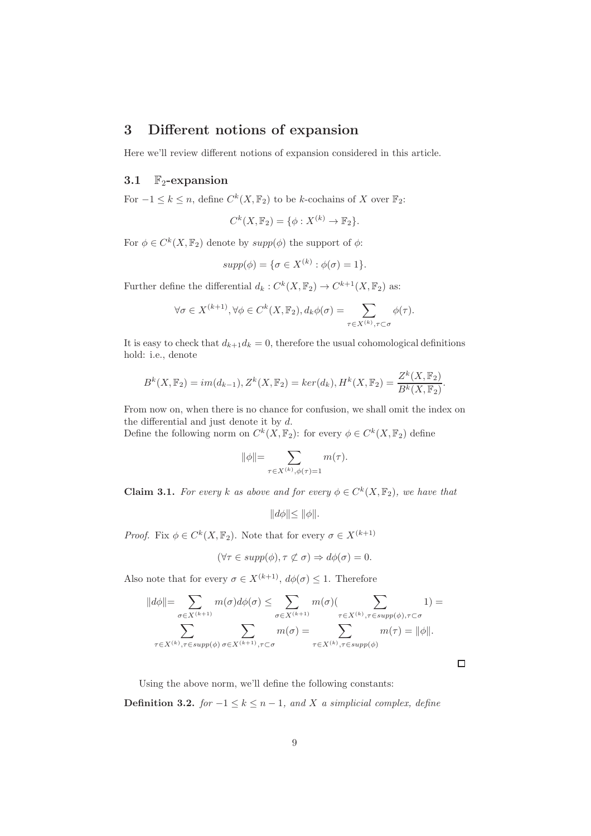# 3 Different notions of expansion

Here we'll review different notions of expansion considered in this article.

#### <span id="page-8-0"></span>3.1  $\mathbb{F}_2$ -expansion

For  $-1 \leq k \leq n$ , define  $C^k(X, \mathbb{F}_2)$  to be k-cochains of X over  $\mathbb{F}_2$ :

$$
C^k(X, \mathbb{F}_2) = \{ \phi : X^{(k)} \to \mathbb{F}_2 \}.
$$

For  $\phi \in C^k(X, \mathbb{F}_2)$  denote by  $supp(\phi)$  the support of  $\phi$ :

$$
supp(\phi) = \{\sigma \in X^{(k)} : \phi(\sigma) = 1\}.
$$

Further define the differential  $d_k: C^k(X, \mathbb{F}_2) \to C^{k+1}(X, \mathbb{F}_2)$  as:

$$
\forall \sigma \in X^{(k+1)}, \forall \phi \in C^k(X, \mathbb{F}_2), d_k \phi(\sigma) = \sum_{\tau \in X^{(k)}, \tau \subset \sigma} \phi(\tau).
$$

It is easy to check that  $d_{k+1}d_k = 0$ , therefore the usual cohomological definitions hold: i.e., denote

$$
B^{k}(X, \mathbb{F}_{2}) = im(d_{k-1}), Z^{k}(X, \mathbb{F}_{2}) = ker(d_{k}), H^{k}(X, \mathbb{F}_{2}) = \frac{Z^{k}(X, \mathbb{F}_{2})}{B^{k}(X, \mathbb{F}_{2})}.
$$

From now on, when there is no chance for confusion, we shall omit the index on the differential and just denote it by  $d$ .

Define the following norm on  $C^k(X, \mathbb{F}_2)$ : for every  $\phi \in C^k(X, \mathbb{F}_2)$  define

$$
\|\phi\|{=}\sum_{\tau\in X^{(k)},\phi(\tau) = 1} m(\tau).
$$

**Claim 3.1.** For every k as above and for every  $\phi \in C^k(X, \mathbb{F}_2)$ , we have that

$$
||d\phi|| \le ||\phi||.
$$

*Proof.* Fix  $\phi \in C^k(X, \mathbb{F}_2)$ . Note that for every  $\sigma \in X^{(k+1)}$ 

$$
(\forall \tau \in supp(\phi), \tau \not\subset \sigma) \Rightarrow d\phi(\sigma) = 0.
$$

Also note that for every  $\sigma \in X^{(k+1)}$ ,  $d\phi(\sigma) \leq 1$ . Therefore

$$
||d\phi|| = \sum_{\sigma \in X^{(k+1)}} m(\sigma) d\phi(\sigma) \le \sum_{\sigma \in X^{(k+1)}} m(\sigma) (\sum_{\tau \in X^{(k)}, \tau \in supp(\phi), \tau \subset \sigma} 1) =
$$
  

$$
\sum_{\tau \in X^{(k)}, \tau \in supp(\phi)} \sum_{\sigma \in X^{(k+1)}, \tau \subset \sigma} m(\sigma) = \sum_{\tau \in X^{(k)}, \tau \in supp(\phi)} m(\tau) = ||\phi||.
$$

 $\Box$ 

Using the above norm, we'll define the following constants:

**Definition 3.2.** for  $-1 \le k \le n-1$ , and X a simplicial complex, define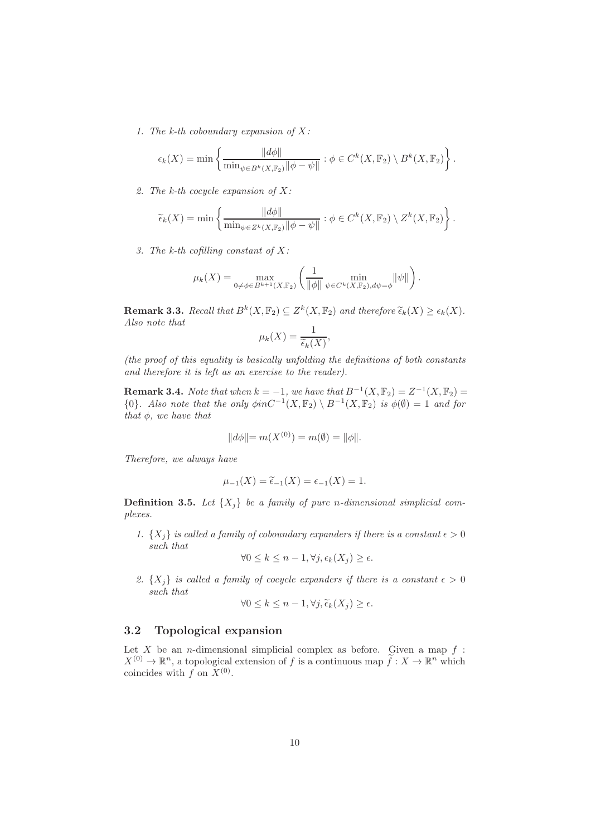1. The k-th coboundary expansion of  $X$ :

$$
\epsilon_k(X) = \min \left\{ \frac{\|d\phi\|}{\min_{\psi \in B^k(X, \mathbb{F}_2)} \|\phi - \psi\|} : \phi \in C^k(X, \mathbb{F}_2) \setminus B^k(X, \mathbb{F}_2) \right\}.
$$

2. The k-th cocycle expansion of  $X$ :

$$
\widetilde{\epsilon}_k(X) = \min \left\{ \frac{\|d\phi\|}{\min_{\psi \in Z^k(X, \mathbb{F}_2)} \|\phi - \psi\|} : \phi \in C^k(X, \mathbb{F}_2) \setminus Z^k(X, \mathbb{F}_2) \right\}.
$$

3. The k-th cofilling constant of  $X$ :

$$
\mu_k(X) = \max_{0 \neq \phi \in B^{k+1}(X, \mathbb{F}_2)} \left( \frac{1}{\|\phi\|} \min_{\psi \in C^k(X, \mathbb{F}_2), d\psi = \phi} \|\psi\| \right).
$$

**Remark 3.3.** Recall that  $B^k(X, \mathbb{F}_2) \subseteq Z^k(X, \mathbb{F}_2)$  and therefore  $\widetilde{\epsilon}_k(X) \geq \epsilon_k(X)$ . Also note that

$$
\mu_k(X) = \frac{1}{\widetilde{\epsilon}_k(X)},
$$

(the proof of this equality is basically unfolding the definitions of both constants and therefore it is left as an exercise to the reader).

**Remark 3.4.** Note that when  $k = -1$ , we have that  $B^{-1}(X, \mathbb{F}_2) = Z^{-1}(X, \mathbb{F}_2) =$  ${0}$ . Also note that the only  $\phi$ inC<sup>-1</sup>(X, F<sub>2</sub>) \ B<sup>-1</sup>(X, F<sub>2</sub>) is  $\phi(\emptyset) = 1$  and for that  $\phi$ , we have that

$$
||d\phi|| = m(X^{(0)}) = m(\emptyset) = ||\phi||.
$$

Therefore, we always have

$$
\mu_{-1}(X) = \widetilde{\epsilon}_{-1}(X) = \epsilon_{-1}(X) = 1.
$$

**Definition 3.5.** Let  $\{X_i\}$  be a family of pure n-dimensional simplicial complexes.

1.  $\{X_i\}$  is called a family of coboundary expanders if there is a constant  $\epsilon > 0$ such that

$$
\forall 0 \leq k \leq n-1, \forall j, \epsilon_k(X_j) \geq \epsilon.
$$

2.  $\{X_i\}$  is called a family of cocycle expanders if there is a constant  $\epsilon > 0$ such that

$$
\forall 0 \leq k \leq n-1, \forall j, \widetilde{\epsilon}_k(X_j) \geq \epsilon.
$$

#### 3.2 Topological expansion

Let  $X$  be an *n*-dimensional simplicial complex as before. Given a map  $f$ :  $X^{(0)} \to \mathbb{R}^n$ , a topological extension of f is a continuous map  $f: X \to \mathbb{R}^n$  which coincides with  $f$  on  $X^{(0)}$ .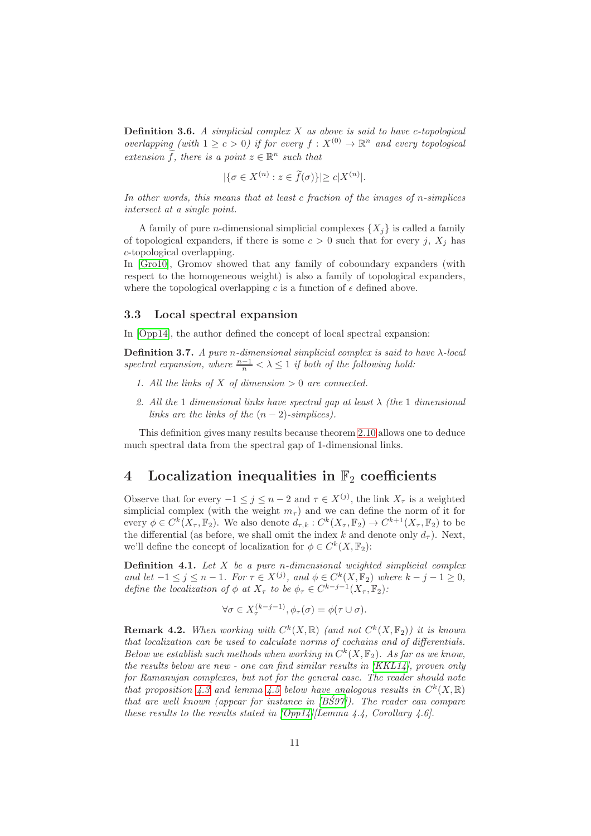**Definition 3.6.** A simplicial complex  $X$  as above is said to have c-topological overlapping (with  $1 \geq c > 0$ ) if for every  $f: X^{(0)} \to \mathbb{R}^n$  and every topological extension  $\hat{f}$ , there is a point  $z \in \mathbb{R}^n$  such that

$$
|\{\sigma \in X^{(n)} : z \in \widetilde{f}(\sigma)\}| \ge c|X^{(n)}|.
$$

In other words, this means that at least c fraction of the images of n-simplices intersect at a single point.

A family of pure *n*-dimensional simplicial complexes  $\{X_i\}$  is called a family of topological expanders, if there is some  $c > 0$  such that for every j,  $X_i$  has c-topological overlapping.

In [\[Gro10\]](#page-39-0), Gromov showed that any family of coboundary expanders (with respect to the homogeneous weight) is also a family of topological expanders, where the topological overlapping c is a function of  $\epsilon$  defined above.

#### 3.3 Local spectral expansion

In [\[Opp14\]](#page-39-2), the author defined the concept of local spectral expansion:

Definition 3.7. A pure n-dimensional simplicial complex is said to have  $\lambda$ -local spectral expansion, where  $\frac{n-1}{n} < \lambda \leq 1$  if both of the following hold:

- 1. All the links of X of dimension  $> 0$  are connected.
- 2. All the 1 dimensional links have spectral gap at least  $\lambda$  (the 1 dimensional links are the links of the  $(n-2)$ -simplices).

This definition gives many results because theorem [2.10](#page-7-1) allows one to deduce much spectral data from the spectral gap of 1-dimensional links.

### 4 Localization inequalities in  $\mathbb{F}_2$  coefficients

Observe that for every  $-1 \leq j \leq n-2$  and  $\tau \in X^{(j)}$ , the link  $X_{\tau}$  is a weighted simplicial complex (with the weight  $m<sub>\tau</sub>$ ) and we can define the norm of it for every  $\phi \in C^k(X_\tau, \mathbb{F}_2)$ . We also denote  $d_{\tau,k}: C^k(X_\tau, \mathbb{F}_2) \to C^{k+1}(X_\tau, \mathbb{F}_2)$  to be the differential (as before, we shall omit the index k and denote only  $d_{\tau}$ ). Next, we'll define the concept of localization for  $\phi \in C^k(X, \mathbb{F}_2)$ :

**Definition 4.1.** Let  $X$  be a pure n-dimensional weighted simplicial complex and let  $-1 \leq j \leq n-1$ . For  $\tau \in X^{(j)}$ , and  $\phi \in C^k(X, \mathbb{F}_2)$  where  $k - j - 1 \geq 0$ , define the localization of  $\phi$  at  $X_{\tau}$  to be  $\phi_{\tau} \in C^{k-j-1}(X_{\tau}, \mathbb{F}_2)$ :

$$
\forall \sigma \in X_{\tau}^{(k-j-1)}, \phi_{\tau}(\sigma) = \phi(\tau \cup \sigma).
$$

**Remark 4.2.** When working with  $C^k(X,\mathbb{R})$  (and not  $C^k(X,\mathbb{F}_2)$ ) it is known that localization can be used to calculate norms of cochains and of differentials. Below we establish such methods when working in  $C^k(X, \mathbb{F}_2)$ . As far as we know, the results below are new - one can find similar results in [\[KKL14\]](#page-39-1), proven only for Ramanujan complexes, but not for the general case. The reader should note that proposition [4.3](#page-11-0) and lemma [4.5](#page-12-0) below have analogous results in  $C^k(X,\mathbb{R})$ that are well known (appear for instance in  $|B\acute{S}97|$ ). The reader can compare these results to the results stated in  $[Opp14]/\text{Lemma 4.4}$ , Corollary 4.6.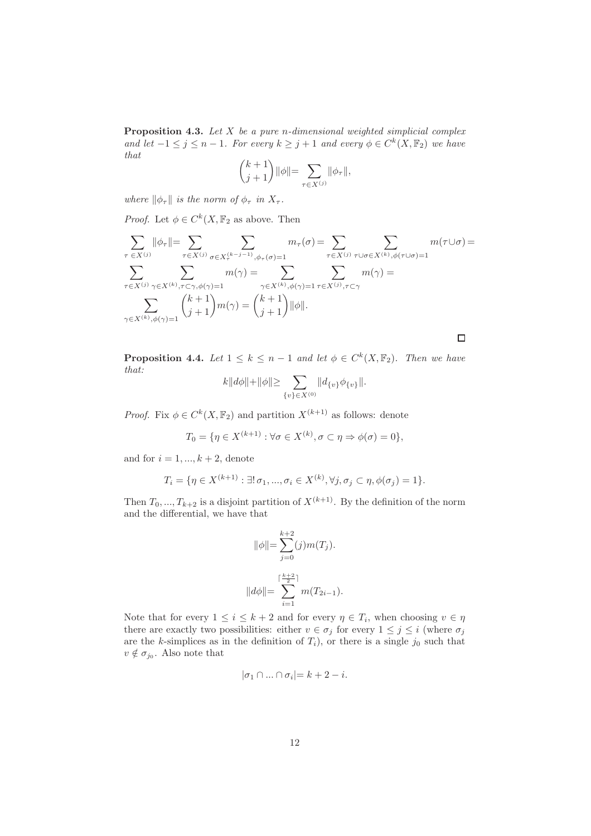<span id="page-11-0"></span>**Proposition 4.3.** Let  $X$  be a pure n-dimensional weighted simplicial complex and let  $-1 \leq j \leq n-1$ . For every  $k \geq j+1$  and every  $\phi \in C^k(X, \mathbb{F}_2)$  we have that

$$
\binom{k+1}{j+1}\|\phi\| = \sum_{\tau \in X^{(j)}} \|\phi_{\tau}\|,
$$

where  $\|\phi_\tau\|$  is the norm of  $\phi_\tau$  in  $X_\tau$ .

*Proof.* Let  $\phi \in C^k(X, \mathbb{F}_2 \text{ as above. Then}$ 

$$
\sum_{\tau \in X^{(j)}} \|\phi_{\tau}\| = \sum_{\tau \in X^{(j)}} \sum_{\sigma \in X_{\tau}^{(k-j-1)}, \phi_{\tau}(\sigma) = 1} m_{\tau}(\sigma) = \sum_{\tau \in X^{(j)}} \sum_{\tau \cup \sigma \in X^{(k)}, \phi(\tau \cup \sigma) = 1} m(\tau \cup \sigma) = \sum_{\tau \in X^{(j)}} \sum_{\gamma \in X^{(k)}, \phi(\gamma) = 1} m(\gamma) = \sum_{\gamma \in X^{(k)}, \phi(\gamma) = 1} \sum_{\tau \in X^{(j)}, \tau \subset \gamma} m(\gamma) = \sum_{\gamma \in X^{(k)}, \phi(\gamma) = 1} {k+1 \choose j+1} m(\gamma) = {k+1 \choose j+1} \|\phi\|.
$$

<span id="page-11-1"></span>**Proposition 4.4.** Let  $1 \leq k \leq n-1$  and let  $\phi \in C^k(X, \mathbb{F}_2)$ . Then we have that:

 $\Box$ 

$$
k||d\phi|| + ||\phi|| \ge \sum_{\{v\} \in X^{(0)}} ||d_{\{v\}}\phi_{\{v\}}||.
$$

*Proof.* Fix  $\phi \in C^k(X, \mathbb{F}_2)$  and partition  $X^{(k+1)}$  as follows: denote

$$
T_0 = \{ \eta \in X^{(k+1)} : \forall \sigma \in X^{(k)}, \sigma \subset \eta \Rightarrow \phi(\sigma) = 0 \},
$$

and for  $i = 1, ..., k + 2$ , denote

$$
T_i = \{ \eta \in X^{(k+1)} : \exists! \, \sigma_1, ..., \sigma_i \in X^{(k)}, \forall j, \sigma_j \subset \eta, \phi(\sigma_j) = 1 \}.
$$

Then  $T_0, ..., T_{k+2}$  is a disjoint partition of  $X^{(k+1)}$ . By the definition of the norm and the differential, we have that

$$
\|\phi\| = \sum_{j=0}^{k+2} (j)m(T_j).
$$

$$
\|d\phi\| = \sum_{i=1}^{\lceil \frac{k+2}{2} \rceil} m(T_{2i-1}).
$$

Note that for every  $1 \leq i \leq k+2$  and for every  $\eta \in T_i$ , when choosing  $v \in \eta$ there are exactly two possibilities: either  $v \in \sigma_j$  for every  $1 \leq j \leq i$  (where  $\sigma_j$ ) are the k-simplices as in the definition of  $T_i$ ), or there is a single  $j_0$  such that  $v \notin \sigma_{j_0}$ . Also note that

$$
|\sigma_1 \cap \ldots \cap \sigma_i| = k + 2 - i.
$$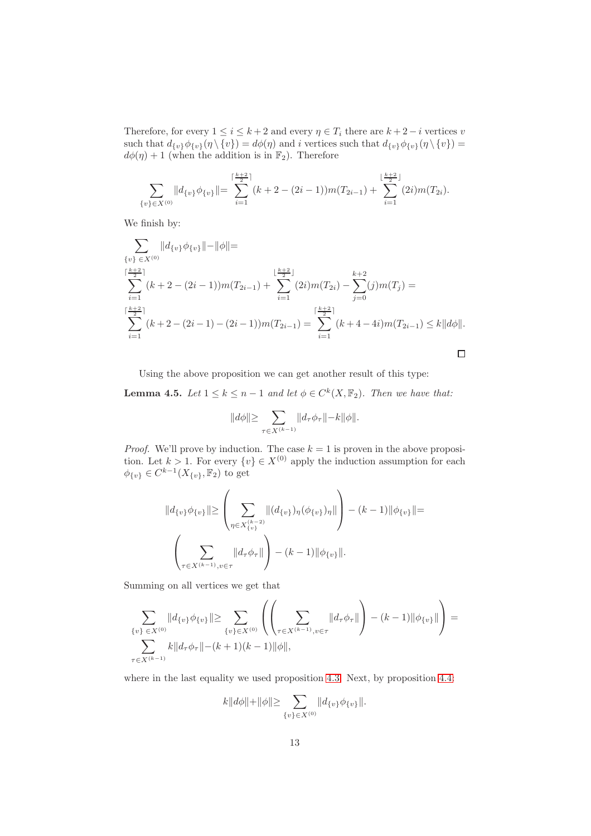Therefore, for every  $1 \leq i \leq k+2$  and every  $\eta \in T_i$  there are  $k+2-i$  vertices v such that  $d_{\{v\}}\phi_{\{v\}}(\eta \setminus \{v\}) = d\phi(\eta)$  and i vertices such that  $d_{\{v\}}\phi_{\{v\}}(\eta \setminus \{v\}) =$  $d\phi(\eta) + 1$  (when the addition is in  $\mathbb{F}_2$ ). Therefore

$$
\sum_{\{v\}\in X^{(0)}}\|d_{\{v\}}\phi_{\{v\}}\| = \sum_{i=1}^{\lceil \frac{k+2}{2} \rceil} (k+2-(2i-1))m(T_{2i-1}) + \sum_{i=1}^{\lfloor \frac{k+2}{2} \rfloor} (2i)m(T_{2i}).
$$

We finish by:

$$
\sum_{\{v\} \in X^{(0)}} ||d_{\{v\}} \phi_{\{v\}}|| - ||\phi|| =
$$
\n
$$
\sum_{i=1}^{\lceil \frac{k+2}{2} \rceil} (k+2 - (2i-1))m(T_{2i-1}) + \sum_{i=1}^{\lfloor \frac{k+2}{2} \rfloor} (2i)m(T_{2i}) - \sum_{j=0}^{k+2} (j)m(T_j) =
$$
\n
$$
\sum_{i=1}^{\lceil \frac{k+2}{2} \rceil} (k+2 - (2i-1) - (2i-1))m(T_{2i-1}) = \sum_{i=1}^{\lceil \frac{k+2}{2} \rceil} (k+4 - 4i)m(T_{2i-1}) \le k||d\phi||.
$$

<span id="page-12-0"></span>Using the above proposition we can get another result of this type:

**Lemma 4.5.** Let  $1 \leq k \leq n-1$  and let  $\phi \in C^k(X, \mathbb{F}_2)$ . Then we have that:

$$
||d\phi|| \geq \sum_{\tau \in X^{(k-1)}} ||d_\tau \phi_\tau|| - k||\phi||.
$$

*Proof.* We'll prove by induction. The case  $k = 1$  is proven in the above proposition. Let  $k > 1$ . For every  $\{v\} \in X^{(0)}$  apply the induction assumption for each  $\phi_{\{v\}} \in C^{k-1}(X_{\{v\}}, \mathbb{F}_2)$  to get

$$
||d_{\{v\}}\phi_{\{v\}}|| \ge \left(\sum_{\eta \in X_{\{v\}}^{(k-2)}}||(d_{\{v\}})\eta(\phi_{\{v\}})\eta||\right) - (k-1)||\phi_{\{v\}}|| =
$$

$$
\left(\sum_{\tau \in X^{(k-1)}, v \in \tau} ||d_{\tau}\phi_{\tau}||\right) - (k-1)||\phi_{\{v\}}||.
$$

Summing on all vertices we get that

$$
\sum_{\{v\} \in X^{(0)}} ||d_{\{v\}} \phi_{\{v\}}|| \ge \sum_{\{v\} \in X^{(0)}} \left( \left( \sum_{\tau \in X^{(k-1)}, v \in \tau} ||d_{\tau} \phi_{\tau}|| \right) - (k-1) ||\phi_{\{v\}}|| \right) = \sum_{\tau \in X^{(k-1)}}
$$
\n
$$
\sum_{\tau \in X^{(k-1)}}
$$

where in the last equality we used proposition [4.3.](#page-11-0) Next, by proposition [4.4:](#page-11-1)

$$
k\|d\phi\|+\|\phi\|\!\geq \sum_{\{v\}\in X^{(0)}}\|d_{\{v\}}\phi_{\{v\}}\|.
$$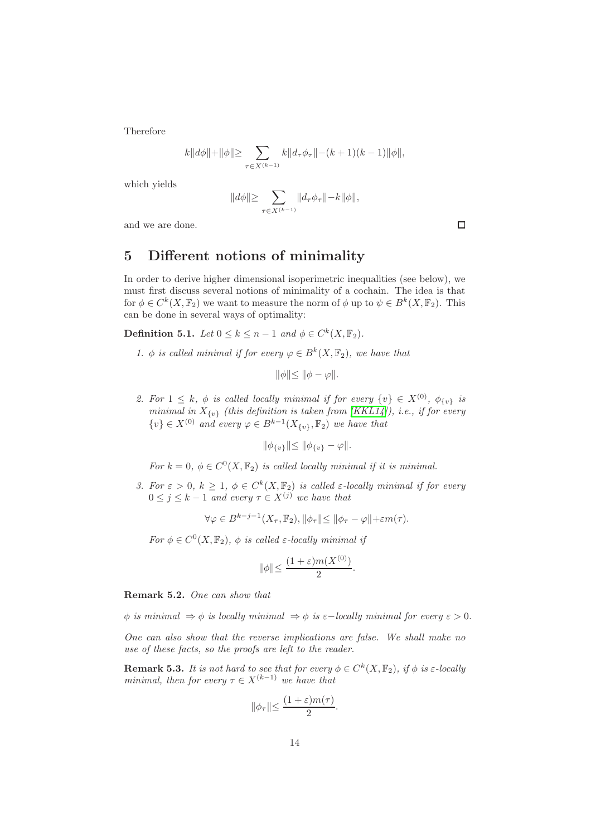Therefore

$$
k||d\phi|| + ||\phi|| \ge \sum_{\tau \in X^{(k-1)}} k||d_{\tau}\phi_{\tau}|| - (k+1)(k-1)||\phi||,
$$

which yields

$$
||d\phi|| \ge \sum_{\tau \in X^{(k-1)}} ||d_{\tau}\phi_{\tau}|| - k||\phi||,
$$

and we are done.

# 5 Different notions of minimality

In order to derive higher dimensional isoperimetric inequalities (see below), we must first discuss several notions of minimality of a cochain. The idea is that for  $\phi \in C^k(X, \mathbb{F}_2)$  we want to measure the norm of  $\phi$  up to  $\psi \in B^k(X, \mathbb{F}_2)$ . This can be done in several ways of optimality:

**Definition 5.1.** Let  $0 \le k \le n-1$  and  $\phi \in C^k(X, \mathbb{F}_2)$ .

1.  $\phi$  is called minimal if for every  $\varphi \in B^k(X, \mathbb{F}_2)$ , we have that

$$
\|\phi\|\leq \|\phi-\varphi\|.
$$

2. For  $1 \leq k$ ,  $\phi$  is called locally minimal if for every  $\{v\} \in X^{(0)}$ ,  $\phi_{\{v\}}$  is minimal in  $X_{\{v\}}$  (this definition is taken from [\[KKL14\]](#page-39-1)), i.e., if for every  $\{v\} \in X^{(0)}$  and every  $\varphi \in B^{k-1}(X_{\{v\}}, \mathbb{F}_2)$  we have that

$$
\|\phi_{\{v\}}\| \le \|\phi_{\{v\}} - \varphi\|.
$$

For  $k = 0$ ,  $\phi \in C^0(X, \mathbb{F}_2)$  is called locally minimal if it is minimal.

3. For  $\varepsilon > 0$ ,  $k \geq 1$ ,  $\phi \in C^k(X, \mathbb{F}_2)$  is called  $\varepsilon$ -locally minimal if for every  $0 \leq j \leq k-1$  and every  $\tau \in X^{(j)}$  we have that

 $\forall \varphi \in B^{k-j-1}(X_\tau, \mathbb{F}_2), \|\phi_\tau\| \le \|\phi_\tau - \varphi\| + \varepsilon m(\tau).$ 

For  $\phi \in C^0(X, \mathbb{F}_2)$ ,  $\phi$  is called  $\varepsilon$ -locally minimal if

$$
\|\phi\| \le \frac{(1+\varepsilon)m(X^{(0)})}{2}.
$$

Remark 5.2. One can show that

φ is minimal  $\Rightarrow$  φ is locally minimal  $\Rightarrow$  φ is ε-locally minimal for every  $\varepsilon > 0$ .

One can also show that the reverse implications are false. We shall make no use of these facts, so the proofs are left to the reader.

<span id="page-13-0"></span>**Remark 5.3.** It is not hard to see that for every  $\phi \in C^k(X, \mathbb{F}_2)$ , if  $\phi$  is  $\varepsilon$ -locally minimal, then for every  $\tau \in X^{(k-1)}$  we have that

$$
\|\phi_\tau\| \le \frac{(1+\varepsilon)m(\tau)}{2}.
$$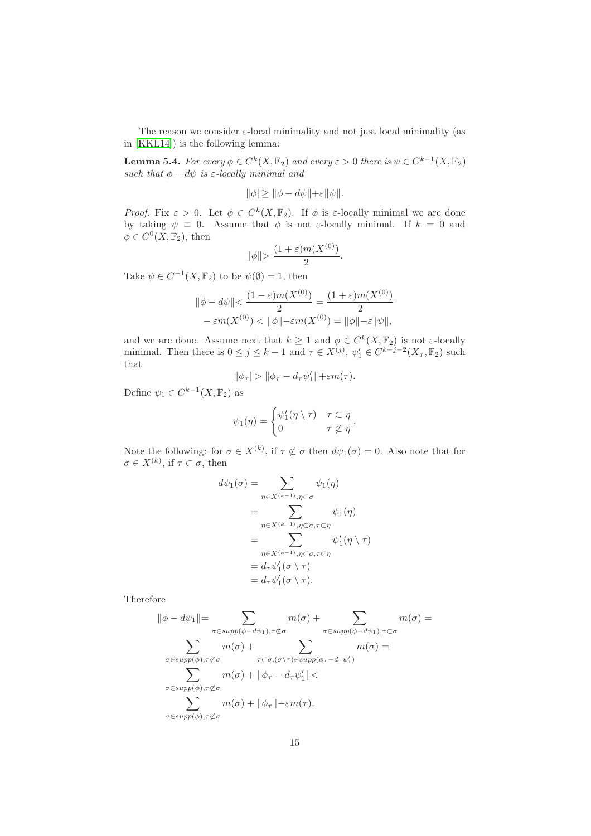<span id="page-14-0"></span>The reason we consider  $\varepsilon$ -local minimality and not just local minimality (as in [\[KKL14\]](#page-39-1)) is the following lemma:

**Lemma 5.4.** For every  $\phi \in C^k(X, \mathbb{F}_2)$  and every  $\varepsilon > 0$  there is  $\psi \in C^{k-1}(X, \mathbb{F}_2)$ such that  $\phi - d\psi$  is  $\varepsilon$ -locally minimal and

$$
\|\phi\| \ge \|\phi - d\psi\| + \varepsilon \|\psi\|.
$$

Proof. Fix  $\varepsilon > 0$ . Let  $\phi \in C^k(X, \mathbb{F}_2)$ . If  $\phi$  is  $\varepsilon$ -locally minimal we are done by taking  $\psi \equiv 0$ . Assume that  $\phi$  is not  $\varepsilon$ -locally minimal. If  $k = 0$  and  $\phi \in C^0(X, \mathbb{F}_2)$ , then

$$
\|\phi\| > \frac{(1+\varepsilon)m(X^{(0)})}{2}.
$$

Take  $\psi \in C^{-1}(X, \mathbb{F}_2)$  to be  $\psi(\emptyset) = 1$ , then

$$
\|\phi - d\psi\| < \frac{(1 - \varepsilon)m(X^{(0)})}{2} = \frac{(1 + \varepsilon)m(X^{(0)})}{2} - \varepsilon m(X^{(0)}) < \|\phi\| - \varepsilon m(X^{(0)}) = \|\phi\| - \varepsilon \|\psi\|,
$$

and we are done. Assume next that  $k \geq 1$  and  $\phi \in C^k(X, \mathbb{F}_2)$  is not  $\varepsilon$ -locally minimal. Then there is  $0 \le j \le k-1$  and  $\tau \in X^{(j)}$ ,  $\psi'_1 \in C^{k-j-2}(X_{\tau}, \mathbb{F}_2)$  such that

$$
\|\phi_{\tau}\| > \|\phi_{\tau} - d_{\tau}\psi_1'\| + \varepsilon m(\tau).
$$

Define  $\psi_1 \in C^{k-1}(X, \mathbb{F}_2)$  as

$$
\psi_1(\eta) = \begin{cases} \psi'_1(\eta \setminus \tau) & \tau \subset \eta \\ 0 & \tau \nleq \eta \end{cases}.
$$

Note the following: for  $\sigma \in X^{(k)}$ , if  $\tau \not\subset \sigma$  then  $d\psi_1(\sigma) = 0$ . Also note that for  $\sigma \in X^{(k)}$ , if  $\tau \subset \sigma$ , then

$$
d\psi_1(\sigma) = \sum_{\eta \in X^{(k-1)}, \eta \subset \sigma} \psi_1(\eta)
$$
  
= 
$$
\sum_{\eta \in X^{(k-1)}, \eta \subset \sigma, \tau \subset \eta} \psi_1(\eta)
$$
  
= 
$$
\sum_{\eta \in X^{(k-1)}, \eta \subset \sigma, \tau \subset \eta} \psi'_1(\eta \setminus \tau)
$$
  
= 
$$
d_{\tau} \psi'_1(\sigma \setminus \tau)
$$
  
= 
$$
d_{\tau} \psi'_1(\sigma \setminus \tau).
$$

Therefore

$$
\|\phi - d\psi_1\| = \sum_{\sigma \in supp(\phi - d\psi_1), \tau \not\subset \sigma} m(\sigma) + \sum_{\sigma \in supp(\phi - d\psi_1), \tau \subset \sigma} m(\sigma) =
$$
  

$$
\sum_{\sigma \in supp(\phi), \tau \not\subset \sigma} m(\sigma) + \sum_{\tau \subset \sigma, (\sigma \setminus \tau) \in supp(\phi_{\tau} - d_{\tau}\psi_1')} m(\sigma) =
$$
  

$$
\sum_{\sigma \in supp(\phi), \tau \not\subset \sigma} m(\sigma) + \|\phi_{\tau} - d_{\tau}\psi_1'\| <
$$
  

$$
\sum_{\sigma \in supp(\phi), \tau \not\subset \sigma} m(\sigma) + \|\phi_{\tau}\| - \varepsilon m(\tau).
$$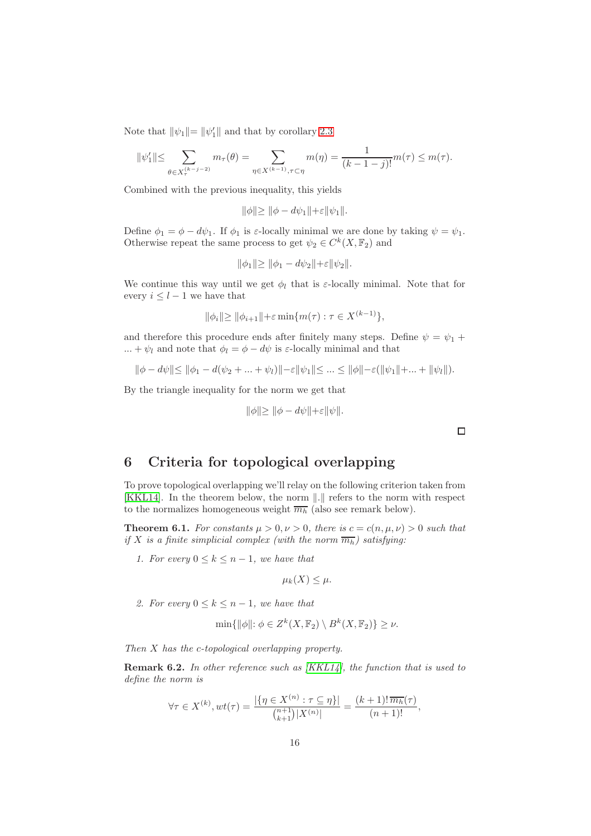Note that  $\|\psi_1\| = \|\psi'_1\|$  and that by corollary [2.3](#page-5-0)

$$
\|\psi_1'\| \le \sum_{\theta \in X_\tau^{(k-j-2)}} m_\tau(\theta) = \sum_{\eta \in X^{(k-1)}, \tau \subset \eta} m(\eta) = \frac{1}{(k-1-j)!} m(\tau) \le m(\tau).
$$

Combined with the previous inequality, this yields

$$
\|\phi\| \ge \|\phi - d\psi_1\| + \varepsilon \|\psi_1\|.
$$

Define  $\phi_1 = \phi - d\psi_1$ . If  $\phi_1$  is  $\varepsilon$ -locally minimal we are done by taking  $\psi = \psi_1$ . Otherwise repeat the same process to get  $\psi_2 \in C^k(X, \mathbb{F}_2)$  and

$$
\|\phi_1\| \ge \|\phi_1 - d\psi_2\| + \varepsilon \|\psi_2\|.
$$

We continue this way until we get  $\phi_l$  that is  $\varepsilon$ -locally minimal. Note that for every  $i \leq l-1$  we have that

$$
\|\phi_i\| \ge \|\phi_{i+1}\| + \varepsilon \min\{m(\tau) : \tau \in X^{(k-1)}\},\
$$

and therefore this procedure ends after finitely many steps. Define  $\psi = \psi_1 + \psi_2$ ... +  $\psi_l$  and note that  $\phi_l = \phi - d\psi$  is  $\varepsilon$ -locally minimal and that

 $\|\phi - d\psi\| \le \|\phi_1 - d(\psi_2 + \dots + \psi_l)\| - \varepsilon \|\psi_1\| \le \dots \le \|\phi\| - \varepsilon(\|\psi_1\| + \dots + \|\psi_l\|).$ 

By the triangle inequality for the norm we get that

$$
\|\phi\| \ge \|\phi - d\psi\| + \varepsilon \|\psi\|.
$$

 $\Box$ 

# 6 Criteria for topological overlapping

To prove topological overlapping we'll relay on the following criterion taken from [\[KKL14\]](#page-39-1). In the theorem below, the norm  $\|.\|$  refers to the norm with respect to the normalizes homogeneous weight  $\overline{m_h}$  (also see remark below).

<span id="page-15-1"></span>**Theorem 6.1.** For constants  $\mu > 0, \nu > 0$ , there is  $c = c(n, \mu, \nu) > 0$  such that if X is a finite simplicial complex (with the norm  $\overline{m_h}$ ) satisfying:

1. For every  $0 \leq k \leq n-1$ , we have that

$$
\mu_k(X) \leq \mu.
$$

2. For every  $0 \leq k \leq n-1$ , we have that

$$
\min\{\|\phi\|: \phi \in Z^k(X, \mathbb{F}_2) \setminus B^k(X, \mathbb{F}_2)\} \ge \nu.
$$

<span id="page-15-0"></span>Then X has the c-topological overlapping property.

**Remark 6.2.** In other reference such as  $[KKL14]$ , the function that is used to define the norm is

$$
\forall \tau \in X^{(k)}, wt(\tau) = \frac{|\{\eta \in X^{(n)} : \tau \subseteq \eta\}|}{\binom{n+1}{k+1}|X^{(n)}|} = \frac{(k+1)! \overline{m_h}(\tau)}{(n+1)!},
$$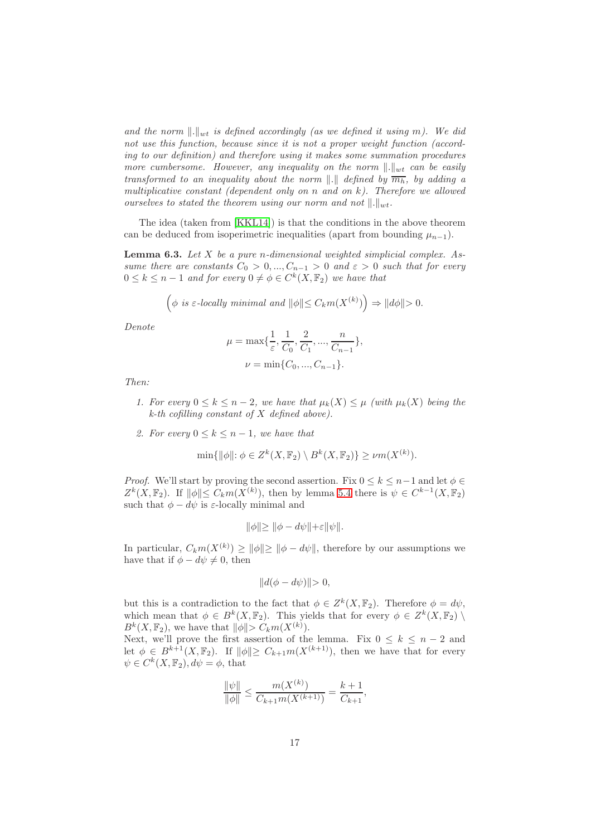and the norm  $\Vert . \Vert_{wt}$  is defined accordingly (as we defined it using m). We did not use this function, because since it is not a proper weight function (according to our definition) and therefore using it makes some summation procedures more cumbersome. However, any inequality on the norm  $\Vert . \Vert_{wt}$  can be easily transformed to an inequality about the norm  $\|.\|$  defined by  $\overline{m_h}$ , by adding a multiplicative constant (dependent only on n and on  $k$ ). Therefore we allowed ourselves to stated the theorem using our norm and not  $\Vert . \Vert_{w}$ .

<span id="page-16-0"></span>The idea (taken from [\[KKL14\]](#page-39-1)) is that the conditions in the above theorem can be deduced from isoperimetric inequalities (apart from bounding  $\mu_{n-1}$ ).

**Lemma 6.3.** Let  $X$  be a pure n-dimensional weighted simplicial complex. Assume there are constants  $C_0 > 0, ..., C_{n-1} > 0$  and  $\varepsilon > 0$  such that for every  $0 \leq k \leq n-1$  and for every  $0 \neq \phi \in C^k(X, \mathbb{F}_2)$  we have that

$$
\left(\phi \text{ is } \varepsilon\text{-locally minimal and } \|\phi\| \leq C_k m(X^{(k)})\right) \Rightarrow \|d\phi\| > 0.
$$

Denote

$$
\mu = \max\{\frac{1}{\varepsilon}, \frac{1}{C_0}, \frac{2}{C_1}, ..., \frac{n}{C_{n-1}}\},\
$$
  

$$
\nu = \min\{C_0, ..., C_{n-1}\}.
$$

$$
\nu = \min\{0, ..., \nu_n\}
$$

Then:

- 1. For every  $0 \leq k \leq n-2$ , we have that  $\mu_k(X) \leq \mu$  (with  $\mu_k(X)$  being the  $k$ -th cofilling constant of X defined above).
- 2. For every  $0 \leq k \leq n-1$ , we have that

$$
\min\{\|\phi\|: \phi \in Z^k(X, \mathbb{F}_2) \setminus B^k(X, \mathbb{F}_2)\} \ge \nu m(X^{(k)}).
$$

*Proof.* We'll start by proving the second assertion. Fix  $0 \leq k \leq n-1$  and let  $\phi \in$  $Z^k(X, \mathbb{F}_2)$ . If  $\|\phi\| \leq C_k m(X^{(k)})$ , then by lemma [5.4](#page-14-0) there is  $\psi \in C^{k-1}(X, \mathbb{F}_2)$ such that  $\phi - d\psi$  is  $\varepsilon$ -locally minimal and

$$
\|\phi\| \ge \|\phi - d\psi\| + \varepsilon \|\psi\|.
$$

In particular,  $C_k m(X^{(k)}) \ge ||\phi|| \ge ||\phi - d\psi||$ , therefore by our assumptions we have that if  $\phi - d\psi \neq 0$ , then

$$
||d(\phi - d\psi)|| > 0,
$$

but this is a contradiction to the fact that  $\phi \in Z^k(X, \mathbb{F}_2)$ . Therefore  $\phi = d\psi$ , which mean that  $\phi \in B^k(X, \mathbb{F}_2)$ . This yields that for every  $\phi \in Z^k(X, \mathbb{F}_2)$  $B^k(X, \mathbb{F}_2)$ , we have that  $\|\phi\| > C_k m(X^{(k)})$ .

Next, we'll prove the first assertion of the lemma. Fix  $0 \leq k \leq n-2$  and let  $\phi \in B^{k+1}(X, \mathbb{F}_2)$ . If  $\|\phi\| \geq C_{k+1}m(X^{(k+1)})$ , then we have that for every  $\psi \in C^k(X, \mathbb{F}_2), d\psi = \phi$ , that

$$
\frac{\|\psi\|}{\|\phi\|} \le \frac{m(X^{(k)})}{C_{k+1}m(X^{(k+1)})} = \frac{k+1}{C_{k+1}},
$$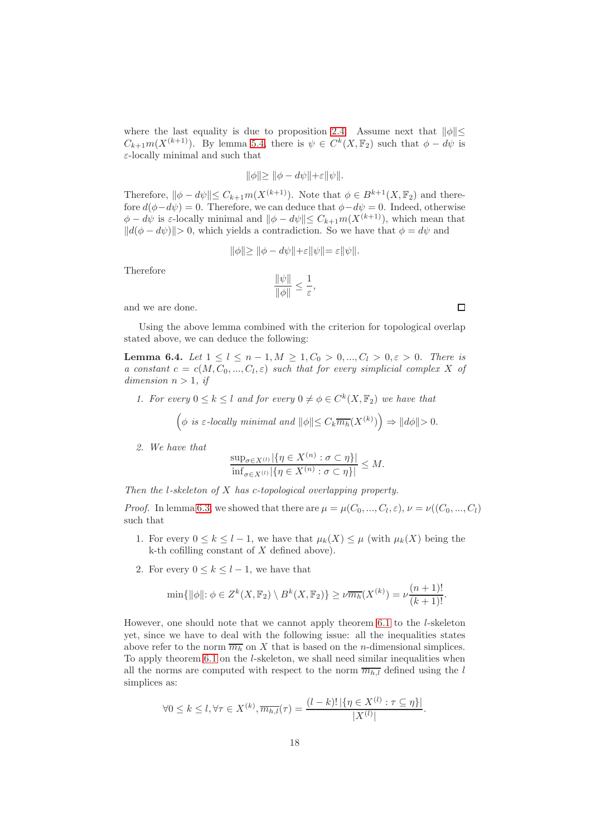where the last equality is due to proposition [2.4.](#page-5-1) Assume next that  $\|\phi\|\leq$  $C_{k+1}m(X^{(k+1)})$ . By lemma [5.4,](#page-14-0) there is  $\psi \in C^k(X,\mathbb{F}_2)$  such that  $\phi - d\psi$  is  $\varepsilon$ -locally minimal and such that

$$
\|\phi\| \ge \|\phi - d\psi\| + \varepsilon \|\psi\|.
$$

Therefore,  $\|\phi - d\psi\| \leq C_{k+1}m(X^{(k+1)})$ . Note that  $\phi \in B^{k+1}(X, \mathbb{F}_2)$  and therefore  $d(\phi - d\psi) = 0$ . Therefore, we can deduce that  $\phi - d\psi = 0$ . Indeed, otherwise  $\phi - d\psi$  is ε-locally minimal and  $\|\phi - d\psi\| \leq C_{k+1} m(X^{(k+1)})$ , which mean that  $||d(\phi - d\psi)|| > 0$ , which yields a contradiction. So we have that  $\phi = d\psi$  and

$$
\|\phi\| \ge \|\phi - d\psi\| + \varepsilon \|\psi\| = \varepsilon \|\psi\|.
$$

Therefore

$$
\frac{\|\psi\|}{\|\phi\|} \le \frac{1}{\varepsilon},
$$

and we are done.

<span id="page-17-0"></span>Using the above lemma combined with the criterion for topological overlap stated above, we can deduce the following:

**Lemma 6.4.** Let  $1 \leq l \leq n-1, M \geq 1, C_0 > 0, ..., C_l > 0, \varepsilon > 0$ . There is a constant  $c = c(M, C_0, ..., C_l, \varepsilon)$  such that for every simplicial complex X of dimension  $n > 1$ , if

1. For every  $0 \leq k \leq l$  and for every  $0 \neq \phi \in C^k(X, \mathbb{F}_2)$  we have that

$$
\left(\phi \text{ is $\varepsilon$-locally minimal and } \|\phi\|\!\leq C_k\overline{m_h}(X^{(k)})\right)\Rightarrow \|d\phi\|\!>\,0.
$$

2. We have that

$$
\frac{\sup_{\sigma \in X^{(l)}} |\{\eta \in X^{(n)} : \sigma \subset \eta\}|}{\inf_{\sigma \in X^{(l)}} |\{\eta \in X^{(n)} : \sigma \subset \eta\}|} \le M.
$$

Then the *l*-skeleton of  $X$  has c-topological overlapping property.

*Proof.* In lemma [6.3,](#page-16-0) we showed that there are  $\mu = \mu(C_0, ..., C_l, \varepsilon), \nu = \nu((C_0, ..., C_l))$ such that

- 1. For every  $0 \leq k \leq l-1$ , we have that  $\mu_k(X) \leq \mu$  (with  $\mu_k(X)$  being the  $k$ -th cofilling constant of  $X$  defined above).
- 2. For every  $0 \leq k \leq l-1$ , we have that

$$
\min\{\|\phi\|: \phi \in Z^k(X, \mathbb{F}_2) \setminus B^k(X, \mathbb{F}_2)\} \ge \nu \overline{m_h}(X^{(k)}) = \nu \frac{(n+1)!}{(k+1)!}.
$$

However, one should note that we cannot apply theorem [6.1](#page-15-1) to the l-skeleton yet, since we have to deal with the following issue: all the inequalities states above refer to the norm  $\overline{m_h}$  on X that is based on the *n*-dimensional simplices. To apply theorem [6.1](#page-15-1) on the l-skeleton, we shall need similar inequalities when all the norms are computed with respect to the norm  $\overline{m_{h,l}}$  defined using the l simplices as:

$$
\forall 0 \leq k \leq l, \forall \tau \in X^{(k)}, \overline{m_{h,l}}(\tau) = \frac{(l-k)! \left| \left\{ \eta \in X^{(l)} : \tau \subseteq \eta \right\} \right|}{|X^{(l)}|}.
$$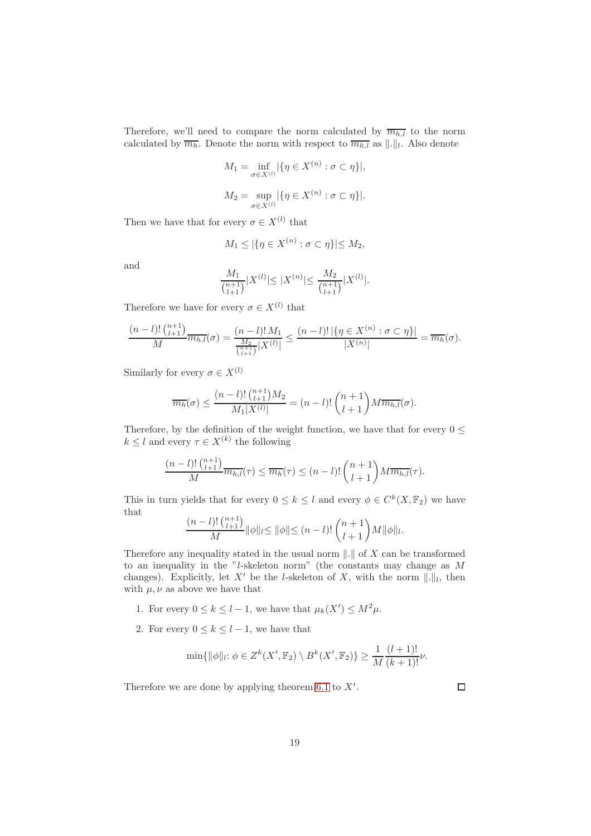Therefore, we'll need to compare the norm calculated by  $\overline{m_{h,l}}$  to the norm calculated by  $\overline{m_h}$ . Denote the norm with respect to  $\overline{m_{h,l}}$  as  $\lVert . \rVert_l$ . Also denote

$$
M_1 = \inf_{\sigma \in X^{(l)}} |\{\eta \in X^{(n)} : \sigma \subset \eta\}|,
$$
  

$$
M_2 = \sup_{\sigma \in X^{(l)}} |\{\eta \in X^{(n)} : \sigma \subset \eta\}|.
$$

Then we have that for every  $\sigma \in X^{(l)}$  that

$$
M_1 \leq |\{\eta \in X^{(n)} : \sigma \subset \eta\}| \leq M_2,
$$

and

$$
\frac{M_1}{\binom{n+1}{l+1}} |X^{(l)}| \le |X^{(n)}| \le \frac{M_2}{\binom{n+1}{l+1}} |X^{(l)}|.
$$

Therefore we have for every  $\sigma \in X^{(l)}$  that

$$
\frac{(n-l)!\binom{n+1}{l+1}}{M}\overline{m_{h,l}}(\sigma) = \frac{(n-l)!M_1}{\frac{M_2}{\binom{n+1}{l+1}}|X^{(l)}|} \le \frac{(n-l)!\left|\{\eta \in X^{(n)} : \sigma \subset \eta\}\right|}{|X^{(n)}|} = \overline{m_h}(\sigma).
$$

Similarly for every  $\sigma \in X^{(l)}$ 

$$
\overline{m_h}(\sigma) \le \frac{(n-l)! \binom{n+1}{l+1} M_2}{M_1 |X^{(l)}|} = (n-l)! \binom{n+1}{l+1} M \overline{m_{h,l}}(\sigma).
$$

Therefore, by the definition of the weight function, we have that for every  $0 \leq$  $k \leq l$  and every  $\tau \in X^{(k)}$  the following

$$
\frac{(n-l)!\binom{n+1}{l+1}}{M}\overline{m_{h,l}}(\tau) \leq \overline{m_h}(\tau) \leq (n-l)!\binom{n+1}{l+1}M\overline{m_{h,l}}(\tau).
$$

This in turn yields that for every  $0 \leq k \leq l$  and every  $\phi \in C^k(X, \mathbb{F}_2)$  we have that

$$
\frac{(n-l)! \binom{n+1}{l+1}}{M} \|\phi\|_{l} \le \|\phi\| \le (n-l)! \binom{n+1}{l+1} M \|\phi\|_{l}.
$$

Therefore any inequality stated in the usual norm  $\Vert . \Vert$  of X can be transformed to an inequality in the "l-skeleton norm" (the constants may change as M changes). Explicitly, let X' be the l-skeleton of X, with the norm  $\|\cdot\|_l$ , then with  $\mu, \nu$  as above we have that

- 1. For every  $0 \le k \le l-1$ , we have that  $\mu_k(X') \le M^2 \mu$ .
- 2. For every  $0 \leq k \leq l-1$ , we have that

$$
\min\{\|\phi\|_l: \phi \in Z^k(X', \mathbb{F}_2) \setminus B^k(X', \mathbb{F}_2)\} \ge \frac{1}{M} \frac{(l+1)!}{(k+1)!} \nu.
$$

Therefore we are done by applying theorem [6.1](#page-15-1) to  $X'$ .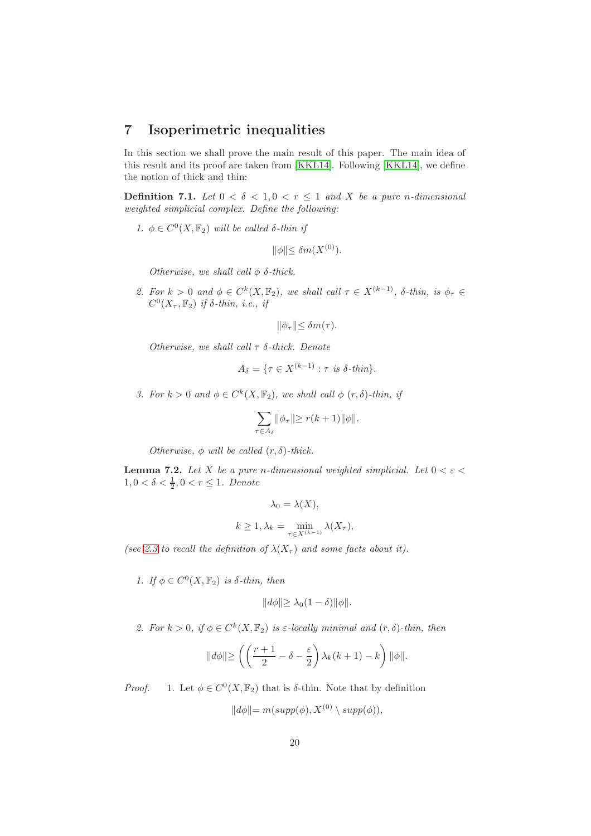# 7 Isoperimetric inequalities

In this section we shall prove the main result of this paper. The main idea of this result and its proof are taken from [\[KKL14\]](#page-39-1). Following [\[KKL14\]](#page-39-1), we define the notion of thick and thin:

**Definition 7.1.** Let  $0 < \delta < 1, 0 < r \leq 1$  and X be a pure n-dimensional weighted simplicial complex. Define the following:

1.  $\phi \in C^0(X, \mathbb{F}_2)$  will be called  $\delta$ -thin if

 $\|\phi\|\leq \delta m(X^{(0)}).$ 

Otherwise, we shall call  $\phi$   $\delta$ -thick.

2. For  $k > 0$  and  $\phi \in C^k(X, \mathbb{F}_2)$ , we shall call  $\tau \in X^{(k-1)}$ ,  $\delta$ -thin, is  $\phi_{\tau} \in$  $C^0(X_\tau, \mathbb{F}_2)$  if  $\delta$ -thin, i.e., if

$$
\|\phi_{\tau}\| \leq \delta m(\tau).
$$

Otherwise, we shall call  $\tau$   $\delta$ -thick. Denote

$$
A_{\delta} = \{ \tau \in X^{(k-1)} : \tau \text{ is } \delta\text{-thin} \}.
$$

3. For  $k > 0$  and  $\phi \in C^k(X, \mathbb{F}_2)$ , we shall call  $\phi$   $(r, \delta)$ -thin, if

$$
\sum_{\tau \in A_\delta} \lVert \phi_\tau \lVert \geq r(k+1) \lVert \phi \lVert.
$$

Otherwise,  $\phi$  will be called  $(r, \delta)$ -thick.

<span id="page-19-0"></span>**Lemma 7.2.** Let X be a pure n-dimensional weighted simplicial. Let  $0 < \varepsilon <$  $1, 0 < \delta < \frac{1}{2}, 0 < r \leq 1$ . Denote

$$
\lambda_0 = \lambda(X),
$$
  

$$
k \ge 1, \lambda_k = \min_{\tau \in X^{(k-1)}} \lambda(X_{\tau}),
$$

(see [2.3](#page-7-0) to recall the definition of  $\lambda(X_\tau)$  and some facts about it).

1. If  $\phi \in C^0(X, \mathbb{F}_2)$  is  $\delta$ -thin, then

$$
||d\phi|| \geq \lambda_0 (1 - \delta) ||\phi||.
$$

2. For  $k > 0$ , if  $\phi \in C^k(X, \mathbb{F}_2)$  is  $\varepsilon$ -locally minimal and  $(r, \delta)$ -thin, then

$$
\|d\phi\| \ge \left(\left(\frac{r+1}{2} - \delta - \frac{\varepsilon}{2}\right) \lambda_k(k+1) - k\right) \|\phi\|.
$$

*Proof.* 1. Let  $\phi \in C^0(X, \mathbb{F}_2)$  that is  $\delta$ -thin. Note that by definition

$$
||d\phi|| = m(supp(\phi), X^{(0)} \setminus supp(\phi)),
$$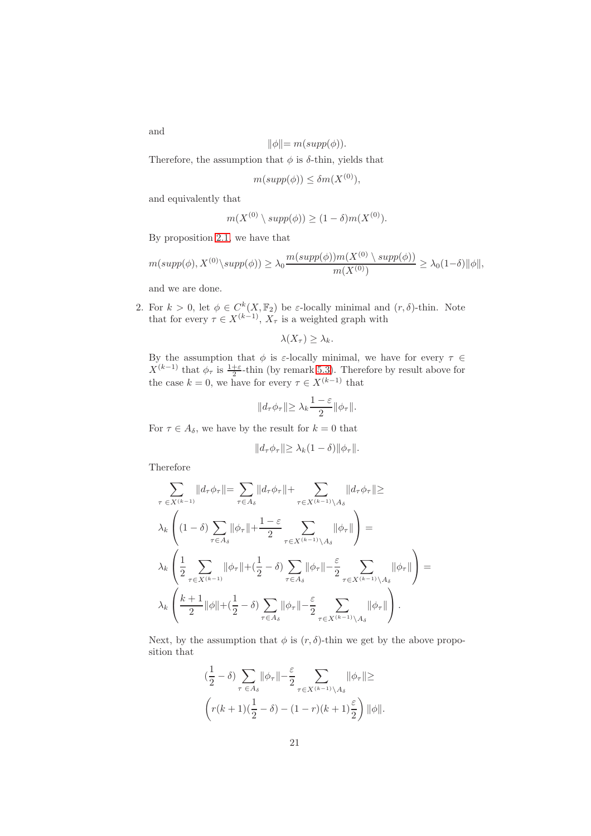and

$$
\|\phi\| = m(supp(\phi)).
$$

Therefore, the assumption that  $\phi$  is  $\delta$ -thin, yields that

$$
m(supp(\phi)) \le \delta m(X^{(0)}),
$$

and equivalently that

$$
m(X^{(0)} \setminus supp(\phi)) \ge (1 - \delta)m(X^{(0)}).
$$

By proposition [2.1,](#page-3-0) we have that

$$
m(supp(\phi), X^{(0)} \setminus supp(\phi)) \ge \lambda_0 \frac{m(supp(\phi))m(X^{(0)} \setminus supp(\phi))}{m(X^{(0)})} \ge \lambda_0(1-\delta) \|\phi\|,
$$

and we are done.

2. For  $k > 0$ , let  $\phi \in C^k(X, \mathbb{F}_2)$  be  $\varepsilon$ -locally minimal and  $(r, \delta)$ -thin. Note that for every  $\tau \in X^{(k-1)}$ ,  $X_{\tau}$  is a weighted graph with

$$
\lambda(X_{\tau}) \geq \lambda_k.
$$

By the assumption that  $\phi$  is  $\varepsilon$ -locally minimal, we have for every  $\tau \in$  $X^{(k-1)}$  that  $\phi_{\tau}$  is  $\frac{1+\varepsilon}{2}$ -thin (by remark [5.3\)](#page-13-0). Therefore by result above for the case  $k = 0$ , we have for every  $\tau \in X^{(k-1)}$  that

$$
||d_{\tau}\phi_{\tau}|| \geq \lambda_k \frac{1-\varepsilon}{2} ||\phi_{\tau}||.
$$

For  $\tau \in A_{\delta}$ , we have by the result for  $k = 0$  that

$$
||d_{\tau}\phi_{\tau}|| \geq \lambda_k(1-\delta)||\phi_{\tau}||.
$$

Therefore

$$
\sum_{\tau \in X^{(k-1)}} ||d_{\tau}\phi_{\tau}|| = \sum_{\tau \in A_{\delta}} ||d_{\tau}\phi_{\tau}|| + \sum_{\tau \in X^{(k-1)} \setminus A_{\delta}} ||d_{\tau}\phi_{\tau}|| \ge
$$
\n
$$
\lambda_{k} \left( (1 - \delta) \sum_{\tau \in A_{\delta}} ||\phi_{\tau}|| + \frac{1 - \varepsilon}{2} \sum_{\tau \in X^{(k-1)} \setminus A_{\delta}} ||\phi_{\tau}|| \right) =
$$
\n
$$
\lambda_{k} \left( \frac{1}{2} \sum_{\tau \in X^{(k-1)}} ||\phi_{\tau}|| + (\frac{1}{2} - \delta) \sum_{\tau \in A_{\delta}} ||\phi_{\tau}|| - \frac{\varepsilon}{2} \sum_{\tau \in X^{(k-1)} \setminus A_{\delta}} ||\phi_{\tau}|| \right) =
$$
\n
$$
\lambda_{k} \left( \frac{k + 1}{2} ||\phi|| + (\frac{1}{2} - \delta) \sum_{\tau \in A_{\delta}} ||\phi_{\tau}|| - \frac{\varepsilon}{2} \sum_{\tau \in X^{(k-1)} \setminus A_{\delta}} ||\phi_{\tau}|| \right).
$$

Next, by the assumption that  $\phi$  is  $(r, \delta)$ -thin we get by the above proposition that

$$
\left(\frac{1}{2} - \delta\right) \sum_{\tau \in A_{\delta}} \|\phi_{\tau}\| - \frac{\varepsilon}{2} \sum_{\tau \in X^{(k-1)} \setminus A_{\delta}} \|\phi_{\tau}\| \ge
$$

$$
\left(r(k+1)\left(\frac{1}{2} - \delta\right) - (1-r)(k+1)\frac{\varepsilon}{2}\right) \|\phi\|.
$$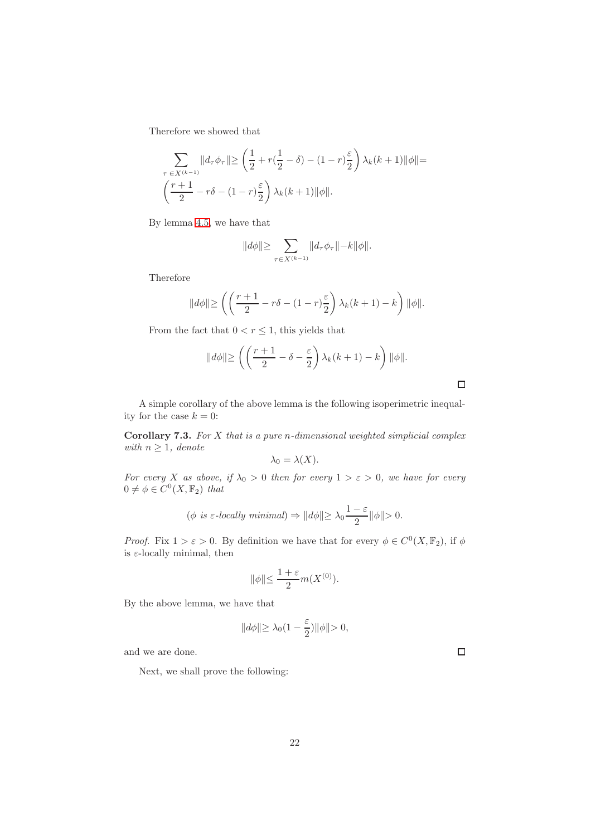Therefore we showed that

$$
\sum_{\tau \in X^{(k-1)}} ||d_{\tau}\phi_{\tau}|| \ge \left(\frac{1}{2} + r\left(\frac{1}{2} - \delta\right) - (1 - r)\frac{\varepsilon}{2}\right)\lambda_k(k+1)||\phi|| =
$$
  

$$
\left(\frac{r+1}{2} - r\delta - (1 - r)\frac{\varepsilon}{2}\right)\lambda_k(k+1)||\phi||.
$$

By lemma [4.5,](#page-12-0) we have that

$$
||d\phi|| \geq \sum_{\tau \in X^{(k-1)}} ||d_\tau \phi_\tau|| - k||\phi||.
$$

Therefore

$$
\|d\phi\| \ge \left( \left( \frac{r+1}{2} - r\delta - (1-r)\frac{\varepsilon}{2} \right) \lambda_k(k+1) - k \right) \|\phi\|.
$$

From the fact that  $0 < r \leq 1$ , this yields that

$$
\|d\phi\| \ge \left(\left(\frac{r+1}{2} - \delta - \frac{\varepsilon}{2}\right)\lambda_k(k+1) - k\right) \|\phi\|.
$$

<span id="page-21-1"></span>A simple corollary of the above lemma is the following isoperimetric inequality for the case  $k = 0$ :

Corollary 7.3. For X that is a pure n-dimensional weighted simplicial complex with  $n \geq 1$ , denote

$$
\lambda_0 = \lambda(X).
$$

For every X as above, if  $\lambda_0 > 0$  then for every  $1 > \varepsilon > 0$ , we have for every  $0 \neq \phi \in C^0(X, \mathbb{F}_2)$  that

$$
(\phi \text{ is } \varepsilon\text{-locally minimal}) \Rightarrow ||d\phi|| \ge \lambda_0 \frac{1-\varepsilon}{2} ||\phi|| > 0.
$$

*Proof.* Fix  $1 > \varepsilon > 0$ . By definition we have that for every  $\phi \in C^0(X, \mathbb{F}_2)$ , if  $\phi$ is  $\varepsilon$ -locally minimal, then

$$
\|\phi\| \le \frac{1+\varepsilon}{2} m(X^{(0)}).
$$

By the above lemma, we have that

$$
||d\phi|| \geq \lambda_0(1-\frac{\varepsilon}{2})||\phi|| > 0,
$$

and we are done.

<span id="page-21-0"></span>Next, we shall prove the following:

 $\Box$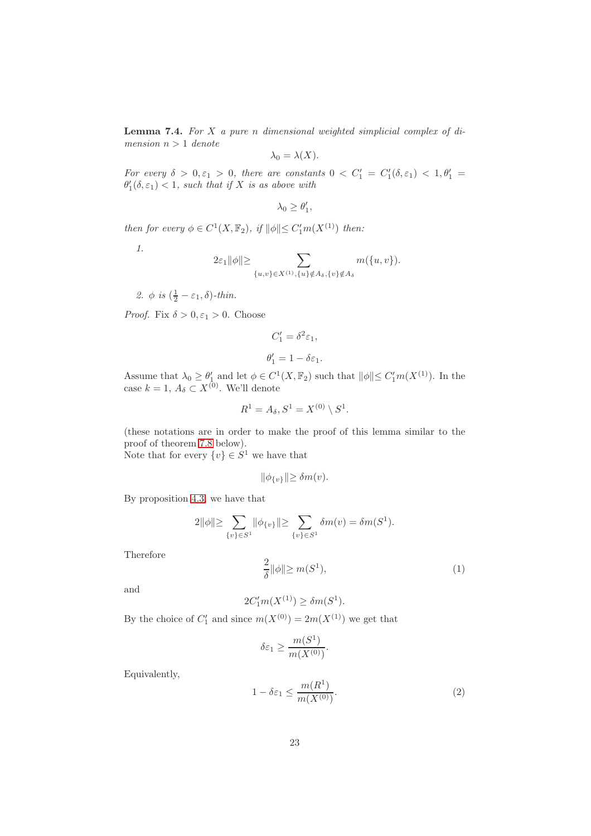**Lemma 7.4.** For  $X$  a pure n dimensional weighted simplicial complex of dimension  $n > 1$  denote

$$
\lambda_0 = \lambda(X).
$$

For every  $\delta > 0, \varepsilon_1 > 0$ , there are constants  $0 < C'_1 = C'_1(\delta, \varepsilon_1) < 1, \theta'_1 =$  $\theta_1'(\delta, \varepsilon_1) < 1$ , such that if X is as above with

$$
\lambda_0 \geq \theta'_1,
$$

then for every  $\phi \in C^1(X, \mathbb{F}_2)$ , if  $\|\phi\| \leq C'_1 m(X^{(1)})$  then:

1.

$$
2\varepsilon_1 \|\phi\| \geq \sum_{\{u,v\} \in X^{(1)}, \{u\} \notin A_\delta, \{v\} \notin A_\delta} m(\{u,v\}).
$$

2.  $\phi$  is  $(\frac{1}{2} - \varepsilon_1, \delta)$ -thin.

*Proof.* Fix  $\delta > 0, \varepsilon_1 > 0$ . Choose

$$
C_1' = \delta^2 \varepsilon_1,
$$

$$
\theta_1' = 1 - \delta \varepsilon_1.
$$

Assume that  $\lambda_0 \geq \theta'_1$  and let  $\phi \in C^1(X, \mathbb{F}_2)$  such that  $\|\phi\| \leq C'_1 m(X^{(1)})$ . In the case  $k = 1, A_{\delta} \subset X^{(0)}$ . We'll denote

$$
R^1 = A_\delta, S^1 = X^{(0)} \setminus S^1.
$$

(these notations are in order to make the proof of this lemma similar to the proof of theorem [7.8](#page-24-0) below).

Note that for every  $\{v\} \in S^1$  we have that

$$
\|\phi_{\{v\}}\|\geq \delta m(v).
$$

By proposition [4.3,](#page-11-0) we have that

$$
2\|\phi\|\!\!\geq \sum_{\{v\}\in S^1}\!\|\phi_{\{v\}}\|\!\!\geq \sum_{\{v\}\in S^1}\delta m(v)=\delta m(S^1).
$$

Therefore

<span id="page-22-0"></span>
$$
\frac{2}{\delta} \|\phi\| \ge m(S^1),\tag{1}
$$

and

$$
2C'_1 m(X^{(1)}) \ge \delta m(S^1).
$$

By the choice of  $C'_1$  and since  $m(X^{(0)}) = 2m(X^{(1)})$  we get that

$$
\delta \varepsilon_1 \ge \frac{m(S^1)}{m(X^{(0)})}.
$$

Equivalently,

<span id="page-22-1"></span>
$$
1 - \delta \varepsilon_1 \le \frac{m(R^1)}{m(X^{(0)})}.\tag{2}
$$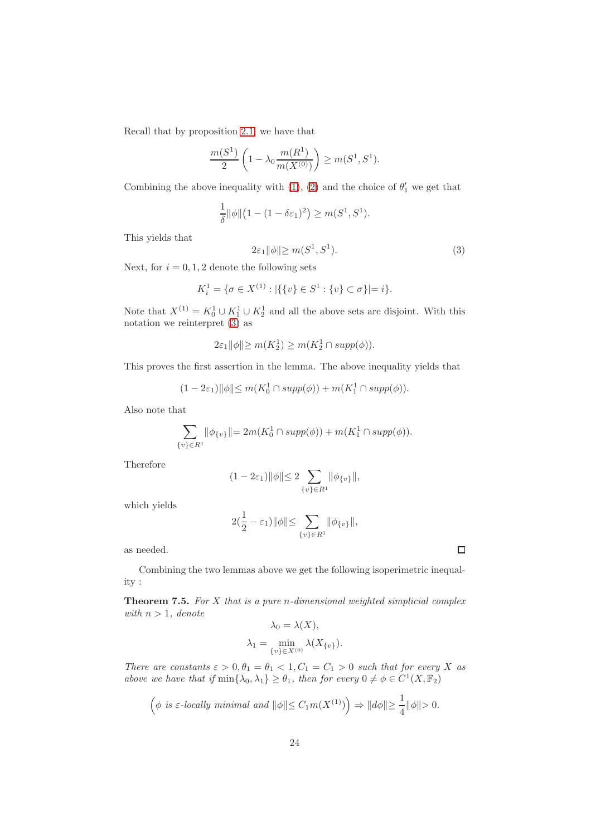Recall that by proposition [2.1,](#page-3-0) we have that

$$
\frac{m(S^1)}{2}\left(1 - \lambda_0 \frac{m(R^1)}{m(X^{(0)})}\right) \ge m(S^1, S^1).
$$

Combining the above inequality with [\(1\)](#page-22-0), [\(2\)](#page-22-1) and the choice of  $\theta'_1$  we get that

$$
\frac{1}{\delta} ||\phi|| (1 - (1 - \delta \varepsilon_1)^2) \ge m(S^1, S^1).
$$

This yields that

<span id="page-23-0"></span>
$$
2\varepsilon_1 \|\phi\| \ge m(S^1, S^1). \tag{3}
$$

Next, for  $i = 0, 1, 2$  denote the following sets

$$
K_i^1 = \{ \sigma \in X^{(1)} : |\{\{v\} \in S^1 : \{v\} \subset \sigma\}| = i \}.
$$

Note that  $X^{(1)} = K_0^1 \cup K_1^1 \cup K_2^1$  and all the above sets are disjoint. With this notation we reinterpret [\(3\)](#page-23-0) as

$$
2\varepsilon_1 \|\phi\| \ge m(K_2^1) \ge m(K_2^1 \cap supp(\phi)).
$$

This proves the first assertion in the lemma. The above inequality yields that

$$
(1 - 2\varepsilon_1) \|\phi\| \le m(K_0^1 \cap supp(\phi)) + m(K_1^1 \cap supp(\phi)).
$$

Also note that

$$
\sum_{\{v\}\in R^1} ||\phi_{\{v\}}|| = 2m(K_0^1 \cap supp(\phi)) + m(K_1^1 \cap supp(\phi)).
$$

Therefore

$$
(1 - 2\varepsilon_1) \|\phi\| \le 2 \sum_{\{v\} \in R^1} \|\phi_{\{v\}}\|,
$$

which yields

$$
2(\frac{1}{2} - \varepsilon_1) \|\phi\| \le \sum_{\{v\} \in R^1} \|\phi_{\{v\}}\|,
$$

as needed.

<span id="page-23-1"></span>Combining the two lemmas above we get the following isoperimetric inequality :

**Theorem 7.5.** For  $X$  that is a pure n-dimensional weighted simplicial complex with  $n > 1$ , denote  $\lambda(V)$ 

$$
\lambda_0 = \lambda(X),
$$
  

$$
\lambda_1 = \min_{\{v\} \in X^{(0)}} \lambda(X_{\{v\}}).
$$

There are constants  $\varepsilon > 0$ ,  $\theta_1 = \theta_1 < 1$ ,  $C_1 = C_1 > 0$  such that for every X as above we have that if  $\min\{\lambda_0, \lambda_1\} \geq \theta_1$ , then for every  $0 \neq \phi \in C^1(X, \mathbb{F}_2)$ 

$$
\left(\phi \text{ is $\varepsilon$-locally minimal and } \|\phi\|\leq C_1 m(X^{(1)})\right)\Rightarrow \|d\phi\|\geq \frac{1}{4}\|\phi\|>0.
$$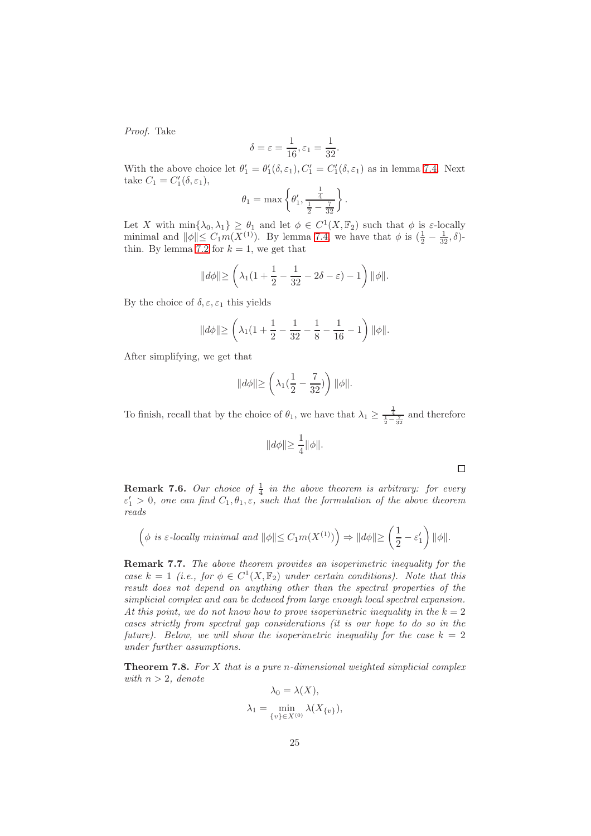Proof. Take

$$
\delta = \varepsilon = \frac{1}{16}, \varepsilon_1 = \frac{1}{32}.
$$

With the above choice let  $\theta'_1 = \theta'_1(\delta, \varepsilon_1), C'_1 = C'_1(\delta, \varepsilon_1)$  as in lemma [7.4.](#page-21-0) Next take  $C_1 = C'_1(\delta, \varepsilon_1),$ 

$$
\theta_1 = \max \left\{ \theta'_1, \frac{\frac{1}{4}}{\frac{1}{2} - \frac{7}{32}} \right\}.
$$

Let X with  $\min\{\lambda_0, \lambda_1\} \geq \theta_1$  and let  $\phi \in C^1(X, \mathbb{F}_2)$  such that  $\phi$  is  $\varepsilon$ -locally minimal and  $\|\phi\| \leq C_1 m(X^{(1)})$ . By lemma [7.4,](#page-21-0) we have that  $\phi$  is  $(\frac{1}{2} - \frac{1}{32}, \delta)$ -thin. By lemma [7.2](#page-19-0) for  $k = 1$ , we get that

$$
||d\phi|| \ge \left(\lambda_1(1 + \frac{1}{2} - \frac{1}{32} - 2\delta - \varepsilon) - 1\right)||\phi||.
$$

By the choice of  $\delta, \varepsilon, \varepsilon_1$  this yields

$$
||d\phi|| \ge \left(\lambda_1(1+\frac{1}{2}-\frac{1}{32}-\frac{1}{8}-\frac{1}{16}-1\right)||\phi||.
$$

After simplifying, we get that

$$
||d\phi|| \ge \left(\lambda_1(\frac{1}{2}-\frac{7}{32})\right)||\phi||.
$$

To finish, recall that by the choice of  $\theta_1$ , we have that  $\lambda_1 \geq \frac{\frac{1}{4}}{\frac{1}{2} - \frac{\pi}{32}}$  and therefore

$$
||d\phi|| \ge \frac{1}{4} ||\phi||.
$$

 $\Box$ 

**Remark 7.6.** Our choice of  $\frac{1}{4}$  in the above theorem is arbitrary: for every  $\varepsilon_1' > 0$ , one can find  $C_1, \theta_1, \varepsilon$ , such that the formulation of the above theorem reads

$$
\left(\phi \text{ is } \varepsilon\text{-locally minimal and } \|\phi\| \le C_1 m(X^{(1)})\right) \Rightarrow \|d\phi\| \ge \left(\frac{1}{2} - \varepsilon_1'\right) \|\phi\|.
$$

Remark 7.7. The above theorem provides an isoperimetric inequality for the case  $k = 1$  (i.e., for  $\phi \in C^1(X, \mathbb{F}_2)$  under certain conditions). Note that this result does not depend on anything other than the spectral properties of the simplicial complex and can be deduced from large enough local spectral expansion. At this point, we do not know how to prove isoperimetric inequality in the  $k = 2$ cases strictly from spectral gap considerations (it is our hope to do so in the future). Below, we will show the isoperimetric inequality for the case  $k = 2$ under further assumptions.

<span id="page-24-0"></span>**Theorem 7.8.** For  $X$  that is a pure n-dimensional weighted simplicial complex with  $n > 2$ , denote  $\lambda_0 = \lambda(X)$ 

$$
\lambda_1 = \min_{\{v\} \in X^{(0)}} \lambda(X_{\{v\}}),
$$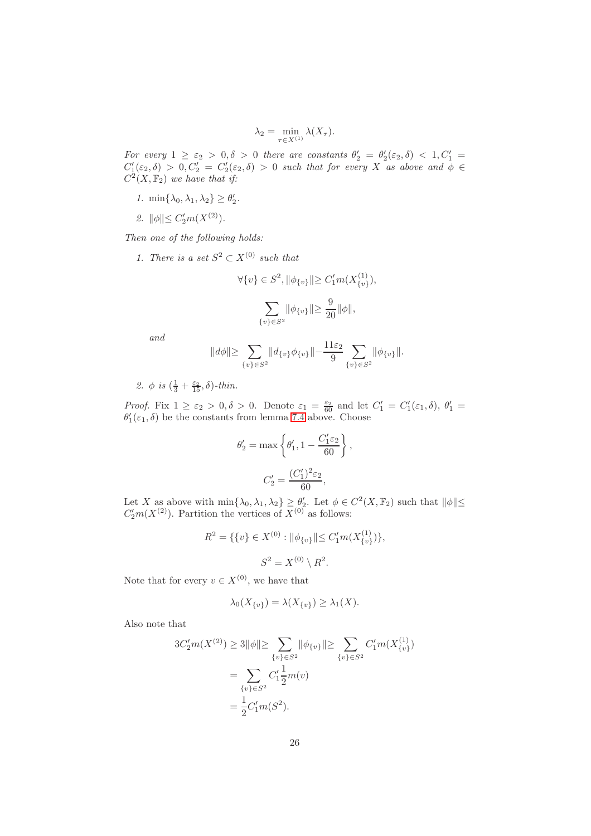$$
\lambda_2 = \min_{\tau \in X^{(1)}} \lambda(X_\tau).
$$

For every  $1 \geq \varepsilon_2 > 0, \delta > 0$  there are constants  $\theta'_2 = \theta'_2(\varepsilon_2, \delta) < 1, C'_1 =$  $C'_1(\varepsilon_2,\delta) > 0, C'_2 = C'_2(\varepsilon_2,\delta) > 0$  such that for every X as above and  $\phi \in$  $C<sup>2</sup>(X, \mathbb{F}<sub>2</sub>)$  we have that if:

- 1.  $\min\{\lambda_0, \lambda_1, \lambda_2\} \ge \theta'_2$ .
- 2.  $\|\phi\| \leq C_2'm(X^{(2)})$ .

Then one of the following holds:

1. There is a set  $S^2 \subset X^{(0)}$  such that

$$
\forall \{v\} \in S^2, \|\phi_{\{v\}}\| \ge C_1'm(X_{\{v\}}^{(1)}),
$$

$$
\sum_{\{v\} \in S^2} \|\phi_{\{v\}}\| \ge \frac{9}{20} \|\phi\|,
$$

and

$$
||d\phi|| \ge \sum_{\{v\} \in S^2} ||d_{\{v\}} \phi_{\{v\}}|| - \frac{11\varepsilon_2}{9} \sum_{\{v\} \in S^2} ||\phi_{\{v\}}||.
$$

2.  $\phi$  is  $\left(\frac{1}{3} + \frac{\varepsilon_2}{15}, \delta\right)$ -thin.

Proof. Fix  $1 \geq \varepsilon_2 > 0, \delta > 0$ . Denote  $\varepsilon_1 = \frac{\varepsilon_2}{60}$  and let  $C'_1 = C'_1(\varepsilon_1, \delta), \theta'_1 =$  $\theta'_{1}(\varepsilon_1,\delta)$  be the constants from lemma [7.4](#page-21-0) above. Choose

$$
\theta_2' = \max \left\{ \theta_1', 1 - \frac{C_1' \varepsilon_2}{60} \right\}
$$
  

$$
C_2' = \frac{(C_1')^2 \varepsilon_2}{60},
$$

,

Let X as above with  $\min\{\lambda_0, \lambda_1, \lambda_2\} \ge \ell_2'$ . Let  $\phi \in C^2(X, \mathbb{F}_2)$  such that  $\|\phi\| \le$  $C'_2m(X^{(2)})$ . Partition the vertices of  $X^{(0)}$  as follows:

$$
R^{2} = \{\{v\} \in X^{(0)} : ||\phi_{\{v\}}|| \leq C'_{1} m(X_{\{v\}}^{(1)})\},\
$$

$$
S^{2} = X^{(0)} \setminus R^{2}.
$$

Note that for every  $v \in X^{(0)}$ , we have that

$$
\lambda_0(X_{\{v\}}) = \lambda(X_{\{v\}}) \ge \lambda_1(X).
$$

Also note that

$$
3C'_{2}m(X^{(2)}) \ge 3\|\phi\| \ge \sum_{\{v\} \in S^{2}} \|\phi_{\{v\}}\| \ge \sum_{\{v\} \in S^{2}} C'_{1}m(X^{(1)}_{\{v\}})
$$

$$
= \sum_{\{v\} \in S^{2}} C'_{1} \frac{1}{2}m(v)
$$

$$
= \frac{1}{2}C'_{1}m(S^{2}).
$$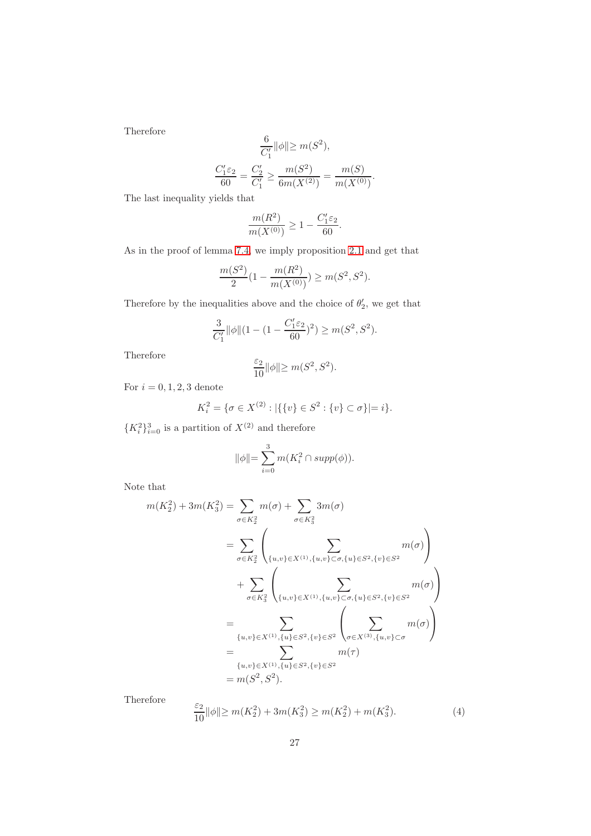Therefore

$$
\frac{6}{C'_1} ||\phi|| \ge m(S^2),
$$
  

$$
\frac{C'_1 \varepsilon_2}{60} = \frac{C'_2}{C'_1} \ge \frac{m(S^2)}{6m(X^{(2)})} = \frac{m(S)}{m(X^{(0)})}.
$$

The last inequality yields that

$$
\frac{m(R^2)}{m(X^{(0)})} \ge 1 - \frac{C_1'\varepsilon_2}{60}.
$$

As in the proof of lemma [7.4,](#page-21-0) we imply proposition [2.1](#page-3-0) and get that

$$
\frac{m(S^2)}{2}\big(1-\frac{m(R^2)}{m(X^{(0)})}\big)\geq m(S^2,S^2).
$$

Therefore by the inequalities above and the choice of  $\theta_2'$ , we get that

$$
\frac{3}{C_1'}\|\phi\|(1-(1-\frac{C_1'\varepsilon_2}{60})^2)\geq m(S^2,S^2).
$$

Therefore

$$
\frac{\varepsilon_2}{10} \|\phi\|{\geq}~m(S^2,S^2).
$$

For  $i = 0, 1, 2, 3$  denote

$$
K_i^2 = \{ \sigma \in X^{(2)} : |\{\{v\} \in S^2 : \{v\} \subset \sigma\}| = i \}.
$$

 ${K_i^2}_{i=0}^3$  is a partition of  $X^{(2)}$  and therefore

$$
\|\phi\| = \sum_{i=0}^{3} m(K_i^2 \cap supp(\phi)).
$$

Note that

$$
m(K_2^2) + 3m(K_3^2) = \sum_{\sigma \in K_2^2} m(\sigma) + \sum_{\sigma \in K_3^2} 3m(\sigma)
$$
  
= 
$$
\sum_{\sigma \in K_2^2} \left( \sum_{\{u,v\} \in X^{(1)}, \{u,v\} \subset \sigma, \{u\} \in S^2, \{v\} \in S^2} m(\sigma) \right)
$$
  
+ 
$$
\sum_{\sigma \in K_3^2} \left( \sum_{\{u,v\} \in X^{(1)}, \{u,v\} \subset \sigma, \{u\} \in S^2, \{v\} \in S^2} m(\sigma) \right)
$$
  
= 
$$
\sum_{\{u,v\} \in X^{(1)}, \{u\} \in S^2, \{v\} \in S^2} \left( \sum_{\sigma \in X^{(3)}, \{u,v\} \subset \sigma} m(\sigma) \right)
$$
  
= 
$$
\sum_{\{u,v\} \in X^{(1)}, \{u\} \in S^2, \{v\} \in S^2} m(\tau)
$$
  
= 
$$
m(S^2, S^2).
$$

Therefore

$$
\frac{\varepsilon_2}{10} \|\phi\| \ge m(K_2^2) + 3m(K_3^2) \ge m(K_2^2) + m(K_3^2). \tag{4}
$$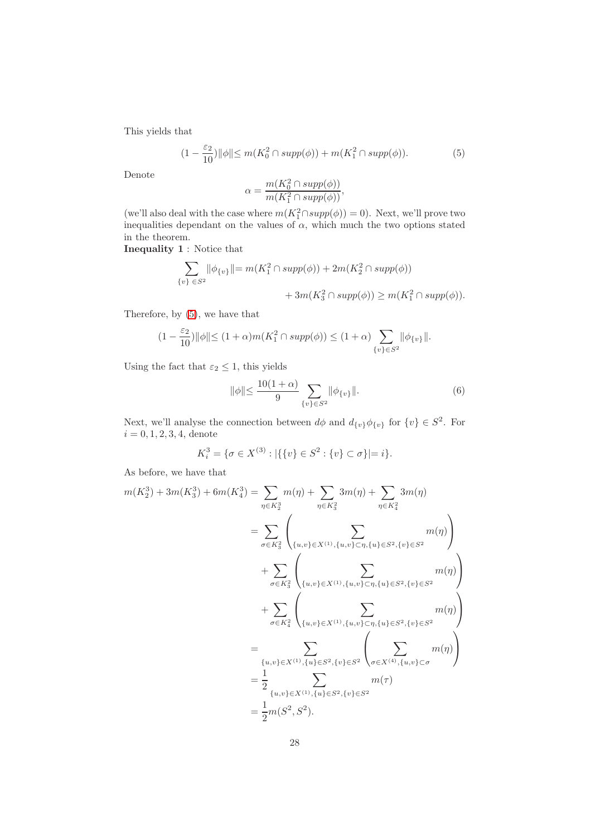This yields that

<span id="page-27-0"></span>
$$
(1 - \frac{\varepsilon_2}{10}) \|\phi\| \le m(K_0^2 \cap supp(\phi)) + m(K_1^2 \cap supp(\phi)).
$$
 (5)

Denote

$$
\alpha = \frac{m(K_0^2 \cap supp(\phi))}{m(K_1^2 \cap supp(\phi))},
$$

(we'll also deal with the case where  $m(K_1^2 \cap supp(\phi)) = 0$ ). Next, we'll prove two inequalities dependant on the values of  $\alpha$ , which much the two options stated in the theorem.

Inequality 1 : Notice that

$$
\sum_{\{v\}\in S^2} ||\phi_{\{v\}}|| = m(K_1^2 \cap supp(\phi)) + 2m(K_2^2 \cap supp(\phi))
$$
  
+ 
$$
3m(K_3^2 \cap supp(\phi)) \ge m(K_1^2 \cap supp(\phi)).
$$

Therefore, by [\(5\)](#page-27-0), we have that

$$
(1-\frac{\varepsilon_2}{10})\|\phi\|\leq (1+\alpha)m(K_1^2\cap supp(\phi))\leq (1+\alpha)\sum_{\{v\}\in S^2}\|\phi_{\{v\}}\|.
$$

Using the fact that  $\varepsilon_2 \leq 1$ , this yields

<span id="page-27-1"></span>
$$
\|\phi\| \le \frac{10(1+\alpha)}{9} \sum_{\{v\} \in S^2} \|\phi_{\{v\}}\|.
$$
 (6)

Next, we'll analyse the connection between  $d\phi$  and  $d_{\{v\}}\phi_{\{v\}}$  for  $\{v\} \in S^2$ . For  $i = 0, 1, 2, 3, 4$ , denote

$$
K_i^3 = \{ \sigma \in X^{(3)} : |\{\{v\} \in S^2 : \{v\} \subset \sigma\}| = i \}.
$$

As before, we have that

$$
m(K_2^3) + 3m(K_3^3) + 6m(K_4^3) = \sum_{\eta \in K_2^3} m(\eta) + \sum_{\eta \in K_3^2} 3m(\eta) + \sum_{\eta \in K_4^2} 3m(\eta)
$$
  
\n
$$
= \sum_{\sigma \in K_3^2} \left( \sum_{\{u,v\} \in X^{(1)}, \{u,v\} \subset \eta, \{u\} \in S^2, \{v\} \in S^2} m(\eta) \right)
$$
  
\n
$$
+ \sum_{\sigma \in K_3^2} \left( \sum_{\{u,v\} \in X^{(1)}, \{u,v\} \subset \eta, \{u\} \in S^2, \{v\} \in S^2} m(\eta) \right)
$$
  
\n
$$
+ \sum_{\sigma \in K_4^2} \left( \sum_{\{u,v\} \in X^{(1)}, \{u,v\} \subset \eta, \{u\} \in S^2, \{v\} \in S^2} m(\eta) \right)
$$
  
\n
$$
= \sum_{\{u,v\} \in X^{(1)}, \{u\} \in S^2, \{v\} \in S^2} \left( \sum_{\sigma \in X^{(4)}, \{u,v\} \subset \sigma} m(\eta) \right)
$$
  
\n
$$
= \frac{1}{2} \sum_{\{u,v\} \in X^{(1)}, \{u\} \in S^2, \{v\} \in S^2} m(\tau)
$$
  
\n
$$
= \frac{1}{2} m(S^2, S^2).
$$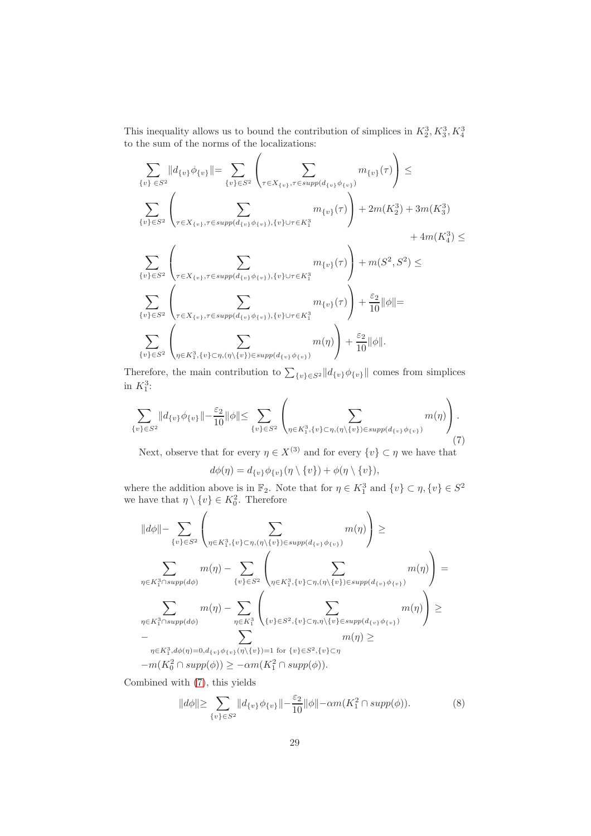This inequality allows us to bound the contribution of simplices in  $K_2^3, K_3^3, K_4^3$ to the sum of the norms of the localizations:

$$
\sum_{\{v\} \in S^2} ||d_{\{v\}} \phi_{\{v\}}|| = \sum_{\{v\} \in S^2} \left( \sum_{\tau \in X_{\{v\}}, \tau \in supp(d_{\{v\}} \phi_{\{v\}})} m_{\{v\}}(\tau) \right) \le
$$
\n
$$
\sum_{\{v\} \in S^2} \left( \sum_{\tau \in X_{\{v\}}, \tau \in supp(d_{\{v\}} \phi_{\{v\}}), \{v\} \cup \tau \in K_1^3} m_{\{v\}}(\tau) \right) + 2m(K_2^3) + 3m(K_3^3) + 4m(K_4^3) \le
$$
\n
$$
\sum_{\{v\} \in S^2} \left( \sum_{\tau \in X_{\{v\}}, \tau \in supp(d_{\{v\}} \phi_{\{v\}}), \{v\} \cup \tau \in K_1^3} m_{\{v\}}(\tau) \right) + m(S^2, S^2) \le
$$
\n
$$
\sum_{\{v\} \in S^2} \left( \sum_{\tau \in X_{\{v\}}, \tau \in supp(d_{\{v\}} \phi_{\{v\}}), \{v\} \cup \tau \in K_1^3} m_{\{v\}}(\tau) \right) + \frac{\varepsilon_2}{10} ||\phi|| =
$$

$$
\sum_{\{v\}\in S^2}\left(\sum_{\eta\in K_1^3,\{v\}\subset \eta,(\eta\setminus\{v\})\in supp(d_{\{v\}}\phi_{\{v\}})}m(\eta)\right)+\frac{\varepsilon_2}{10}\|\phi\|.
$$

Therefore, the main contribution to  $\sum_{\{v\}\in S^2} ||d_{\{v\}}\phi_{\{v\}}||$  comes from simplices in  $K_1^3$ :

<span id="page-28-0"></span>
$$
\sum_{\{v\} \in S^2} ||d_{\{v\}} \phi_{\{v\}}|| - \frac{\varepsilon_2}{10} ||\phi|| \le \sum_{\{v\} \in S^2} \left( \sum_{\eta \in K_1^3, \{v\} \subset \eta, (\eta \setminus \{v\}) \in supp(d_{\{v\}} \phi_{\{v\}})} m(\eta) \right). \tag{7}
$$

Next, observe that for every  $\eta \in X^{(3)}$  and for every  $\{v\} \subset \eta$  we have that

$$
d\phi(\eta)=d_{\{v\}}\phi_{\{v\}}(\eta\setminus\{v\})+\phi(\eta\setminus\{v\}),
$$

where the addition above is in  $\mathbb{F}_2$ . Note that for  $\eta \in K_1^3$  and  $\{v\} \subset \eta, \{v\} \in S^2$ we have that  $\eta \setminus \{v\} \in K_0^2$ . Therefore

$$
||d\phi|| - \sum_{\{v\} \in S^2} \left( \sum_{\eta \in K_1^3, \{v\} \subset \eta, (\eta \setminus \{v\}) \in supp(d_{\{v\}} \phi_{\{v\}})} m(\eta) \right) \ge
$$
  

$$
\sum_{\eta \in K_1^3 \cap supp(d\phi)} m(\eta) - \sum_{\{v\} \in S^2} \left( \sum_{\eta \in K_1^3, \{v\} \subset \eta, (\eta \setminus \{v\}) \in supp(d_{\{v\}} \phi_{\{v\}})} m(\eta) \right) =
$$
  

$$
\sum_{\eta \in K_1^3 \cap supp(d\phi)} m(\eta) - \sum_{\eta \in K_1^3} \left( \sum_{\{v\} \in S^2, \{v\} \subset \eta, \eta \setminus \{v\} \in supp(d_{\{v\}} \phi_{\{v\}})} m(\eta) \right) \ge
$$
  

$$
- \sum_{\eta \in K_1^3, d\phi(\eta) = 0, d_{\{v\}} \phi_{\{v\}}(\eta \setminus \{v\}) = 1 \text{ for } \{v\} \in S^2, \{v\} \subset \eta} m(\eta) \ge
$$
  

$$
-m(K_0^2 \cap supp(\phi)) \ge -\alpha m(K_1^2 \cap supp(\phi)).
$$

Combined with [\(7\)](#page-28-0), this yields

<span id="page-28-1"></span>
$$
||d\phi|| \geq \sum_{\{v\} \in S^2} ||d_{\{v\}} \phi_{\{v\}}|| - \frac{\varepsilon_2}{10} ||\phi|| - \alpha m(K_1^2 \cap \operatorname{supp}(\phi)). \tag{8}
$$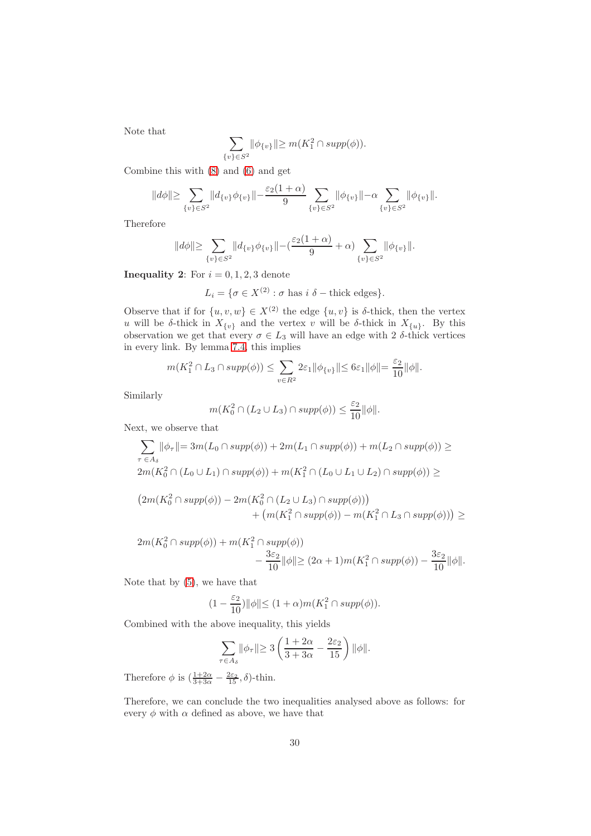Note that

$$
\sum_{\{v\} \in S^2} ||\phi_{\{v\}}|| \ge m(K_1^2 \cap supp(\phi)).
$$

Combine this with [\(8\)](#page-28-1) and [\(6\)](#page-27-1) and get

$$
||d\phi|| \geq \sum_{\{v\} \in S^2} ||d_{\{v\}} \phi_{\{v\}}|| - \frac{\varepsilon_2(1+\alpha)}{9} \sum_{\{v\} \in S^2} ||\phi_{\{v\}}|| - \alpha \sum_{\{v\} \in S^2} ||\phi_{\{v\}}||.
$$

Therefore

$$
||d\phi|| \geq \sum_{\{v\} \in S^2} ||d_{\{v\}} \phi_{\{v\}}|| - (\frac{\varepsilon_2(1+\alpha)}{9} + \alpha) \sum_{\{v\} \in S^2} ||\phi_{\{v\}}||.
$$

**Inequality 2:** For  $i = 0, 1, 2, 3$  denote

 $L_i = \{ \sigma \in X^{(2)} : \sigma \text{ has } i \delta \text{ - thick edges} \}.$ 

Observe that if for  $\{u, v, w\} \in X^{(2)}$  the edge  $\{u, v\}$  is  $\delta$ -thick, then the vertex u will be δ-thick in  $X_{\{v\}}$  and the vertex v will be δ-thick in  $X_{\{u\}}$ . By this observation we get that every  $\sigma \in L_3$  will have an edge with 2  $\delta$ -thick vertices in every link. By lemma [7.4,](#page-21-0) this implies

$$
m(K_1^2 \cap L_3 \cap supp(\phi)) \le \sum_{v \in R^2} 2\varepsilon_1 ||\phi_{\{v\}}|| \le 6\varepsilon_1 ||\phi|| = \frac{\varepsilon_2}{10} ||\phi||.
$$

Similarly

$$
m(K_0^2\cap (L_2\cup L_3)\cap supp(\phi))\leq \frac{\varepsilon_2}{10}\|\phi\|.
$$

Next, we observe that

$$
\sum_{\tau \in A_{\delta}} ||\phi_{\tau}|| = 3m(L_0 \cap supp(\phi)) + 2m(L_1 \cap supp(\phi)) + m(L_2 \cap supp(\phi)) \ge
$$
  
\n
$$
2m(K_0^2 \cap (L_0 \cup L_1) \cap supp(\phi)) + m(K_1^2 \cap (L_0 \cup L_1 \cup L_2) \cap supp(\phi)) \ge
$$
  
\n
$$
(2m(K_0^2 \cap supp(\phi)) - 2m(K_0^2 \cap (L_2 \cup L_3) \cap supp(\phi))) + (m(K_1^2 \cap supp(\phi)) - m(K_1^2 \cap L_3 \cap supp(\phi))) \ge
$$

$$
2m(K_0^2 \cap supp(\phi)) + m(K_1^2 \cap supp(\phi))
$$
  
 
$$
- \frac{3\varepsilon_2}{10} ||\phi|| \ge (2\alpha + 1)m(K_1^2 \cap supp(\phi)) - \frac{3\varepsilon_2}{10} ||\phi||.
$$

Note that by [\(5\)](#page-27-0), we have that

$$
(1 - \frac{\varepsilon_2}{10}) \|\phi\| \le (1 + \alpha)m(K_1^2 \cap supp(\phi)).
$$

Combined with the above inequality, this yields

$$
\sum_{\tau \in A_\delta} \lVert \phi_\tau \lVert \geq 3\left( \frac{1+2\alpha}{3+3\alpha} - \frac{2\varepsilon_2}{15} \right) \lVert \phi \lVert.
$$

Therefore  $\phi$  is  $\left(\frac{1+2\alpha}{3+3\alpha}-\frac{2\varepsilon_2}{15},\delta\right)$ -thin.

Therefore, we can conclude the two inequalities analysed above as follows: for every  $\phi$  with  $\alpha$  defined as above, we have that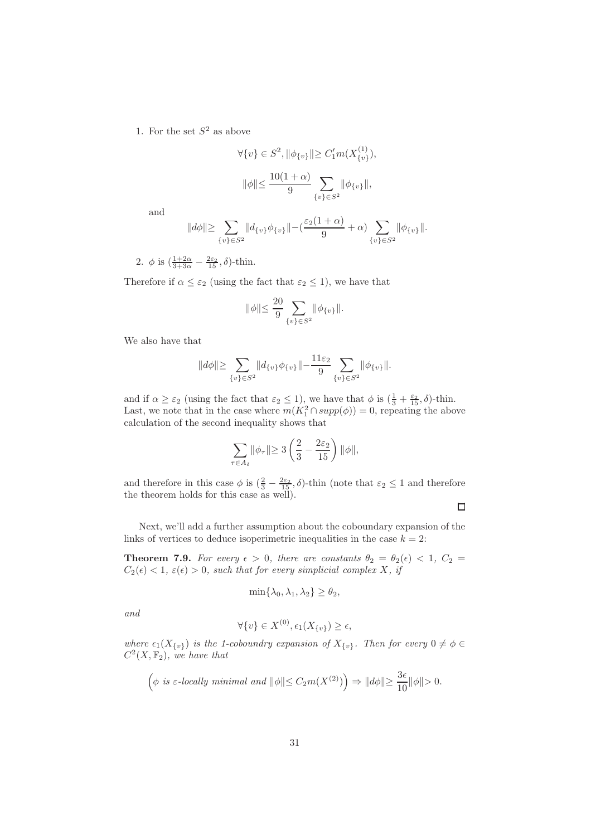1. For the set  $S^2$  as above

$$
\forall \{v\} \in S^2, \|\phi_{\{v\}}\| \ge C_1'm(X_{\{v\}}^{(1)}),
$$
  

$$
\|\phi\| \le \frac{10(1+\alpha)}{9} \sum_{\{v\} \in S^2} \|\phi_{\{v\}}\|,
$$

and

$$
||d\phi|| \geq \sum_{\{v\} \in S^2} ||d_{\{v\}} \phi_{\{v\}}|| - (\frac{\varepsilon_2(1+\alpha)}{9} + \alpha) \sum_{\{v\} \in S^2} ||\phi_{\{v\}}||.
$$

2.  $\phi$  is  $\left(\frac{1+2\alpha}{3+3\alpha}-\frac{2\varepsilon_2}{15}, \delta\right)$ -thin.

Therefore if  $\alpha \leq \varepsilon_2$  (using the fact that  $\varepsilon_2 \leq 1$ ), we have that

$$
\|\phi\| \le \frac{20}{9} \sum_{\{v\} \in S^2} \|\phi_{\{v\}}\|.
$$

We also have that

$$
||d\phi|| \geq \sum_{\{v\} \in S^2} ||d_{\{v\}} \phi_{\{v\}}|| - \frac{11\varepsilon_2}{9} \sum_{\{v\} \in S^2} ||\phi_{\{v\}}||.
$$

and if  $\alpha \geq \varepsilon_2$  (using the fact that  $\varepsilon_2 \leq 1$ ), we have that  $\phi$  is  $\left(\frac{1}{3} + \frac{\varepsilon_2}{15}, \delta\right)$ -thin. Last, we note that in the case where  $m(K_1^2 \cap supp(\phi)) = 0$ , repeating the above calculation of the second inequality shows that

$$
\sum_{\tau \in A_{\delta}} ||\phi_{\tau}|| \geq 3\left(\frac{2}{3} - \frac{2\varepsilon_2}{15}\right) ||\phi||,
$$

and therefore in this case  $\phi$  is  $(\frac{2}{3} - \frac{2\varepsilon_2}{15}, \delta)$ -thin (note that  $\varepsilon_2 \leq 1$  and therefore the theorem holds for this case as well).

 $\Box$ 

<span id="page-30-0"></span>Next, we'll add a further assumption about the coboundary expansion of the links of vertices to deduce isoperimetric inequalities in the case  $k = 2$ :

**Theorem 7.9.** For every  $\epsilon > 0$ , there are constants  $\theta_2 = \theta_2(\epsilon) < 1$ ,  $C_2 =$  $C_2(\epsilon) < 1, \, \varepsilon(\epsilon) > 0$ , such that for every simplicial complex X, if

$$
\min\{\lambda_0, \lambda_1, \lambda_2\} \ge \theta_2,
$$

and

$$
\forall \{v\} \in X^{(0)}, \epsilon_1(X_{\{v\}}) \ge \epsilon,
$$

where  $\epsilon_1(X_{\{v\}})$  is the 1-coboundry expansion of  $X_{\{v\}}$ . Then for every  $0 \neq \phi \in$  $C^2(X, \mathbb{F}_2)$ , we have that

$$
\left(\phi \text{ is } \varepsilon\text{-locally minimal and } \|\phi\| \le C_2 m(X^{(2)})\right) \Rightarrow \|d\phi\| \ge \frac{3\epsilon}{10}\|\phi\| > 0.
$$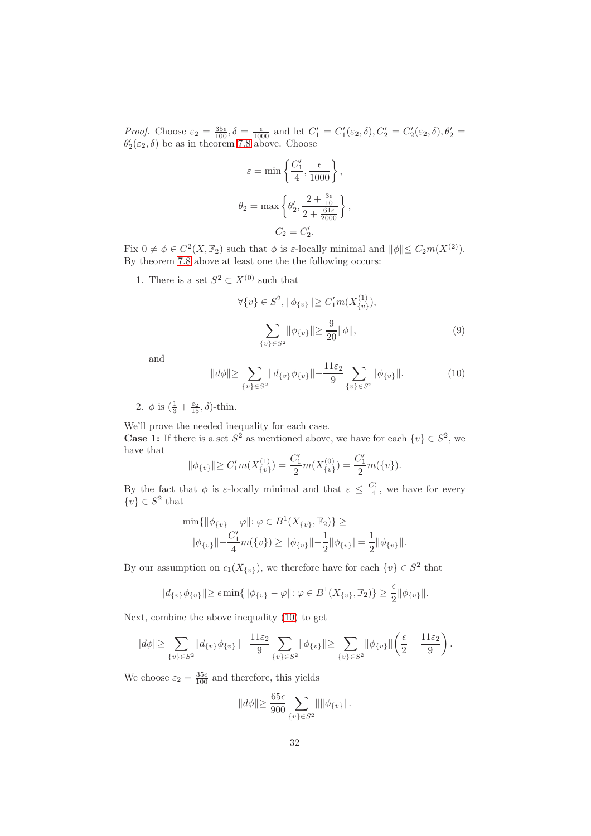Proof. Choose  $\varepsilon_2 = \frac{35\varepsilon}{100}$ ,  $\delta = \frac{\varepsilon}{1000}$  and let  $C'_1 = C'_1(\varepsilon_2, \delta), C'_2 = C'_2(\varepsilon_2, \delta), \theta'_2 =$  $\theta_2'(\varepsilon_2, \delta)$  be as in theorem [7.8](#page-24-0) above. Choose

$$
\varepsilon = \min \left\{ \frac{C'_1}{4}, \frac{\epsilon}{1000} \right\},
$$
  

$$
\theta_2 = \max \left\{ \theta'_2, \frac{2 + \frac{3\epsilon}{10}}{2 + \frac{61\epsilon}{2000}} \right\},
$$
  

$$
C_2 = C'_2.
$$

Fix  $0 \neq \phi \in C^2(X, \mathbb{F}_2)$  such that  $\phi$  is  $\varepsilon$ -locally minimal and  $\|\phi\| \leq C_2 m(X^{(2)})$ . By theorem [7.8](#page-24-0) above at least one the the following occurs:

1. There is a set  $S^2 \subset X^{(0)}$  such that

<span id="page-31-1"></span>
$$
\forall \{v\} \in S^2, \|\phi_{\{v\}}\| \ge C_1'm(X_{\{v\}}^{(1)}),
$$

$$
\sum_{\{v\} \in S^2} \|\phi_{\{v\}}\| \ge \frac{9}{20} \|\phi\|,
$$
(9)

and

<span id="page-31-0"></span>
$$
||d\phi|| \geq \sum_{\{v\} \in S^2} ||d_{\{v\}} \phi_{\{v\}}|| - \frac{11\varepsilon_2}{9} \sum_{\{v\} \in S^2} ||\phi_{\{v\}}||. \tag{10}
$$

2.  $\phi$  is  $\left(\frac{1}{3} + \frac{\varepsilon_2}{15}, \delta\right)$ -thin.

We'll prove the needed inequality for each case. **Case 1:** If there is a set  $S^2$  as mentioned above, we have for each  $\{v\} \in S^2$ , we have that

$$
\|\phi_{\{v\}}\| \ge C_1'm(X_{\{v\}}^{(1)}) = \frac{C_1'}{2}m(X_{\{v\}}^{(0)}) = \frac{C_1'}{2}m(\{v\}).
$$

By the fact that  $\phi$  is  $\varepsilon$ -locally minimal and that  $\varepsilon \leq \frac{C'_1}{4}$ , we have for every  $\{v\} \in S^2$  that

$$
\min\{\|\phi_{\{v\}} - \varphi\|: \varphi \in B^1(X_{\{v\}}, \mathbb{F}_2)\} \ge
$$
  

$$
\|\phi_{\{v\}}\| - \frac{C_1'}{4}m(\{v\}) \ge \|\phi_{\{v\}}\| - \frac{1}{2}\|\phi_{\{v\}}\| = \frac{1}{2}\|\phi_{\{v\}}\|.
$$

By our assumption on  $\epsilon_1(X_{\{v\}})$ , we therefore have for each  $\{v\} \in S^2$  that

$$
||d_{\{v\}}\phi_{\{v\}}|| \ge \epsilon \min\{||\phi_{\{v\}} - \varphi||: \varphi \in B^1(X_{\{v\}}, \mathbb{F}_2)\} \ge \frac{\epsilon}{2} ||\phi_{\{v\}}||.
$$

Next, combine the above inequality [\(10\)](#page-31-0) to get

$$
||d\phi|| \geq \sum_{\{v\} \in S^2} ||d_{\{v\}} \phi_{\{v\}}|| - \frac{11\varepsilon_2}{9} \sum_{\{v\} \in S^2} ||\phi_{\{v\}}|| \geq \sum_{\{v\} \in S^2} ||\phi_{\{v\}}|| \left(\frac{\epsilon}{2} - \frac{11\varepsilon_2}{9}\right).
$$

We choose  $\varepsilon_2 = \frac{35\epsilon}{100}$  and therefore, this yields

$$
||d\phi|| \ge \frac{65\epsilon}{900} \sum_{\{v\} \in S^2} || ||\phi_{\{v\}}||.
$$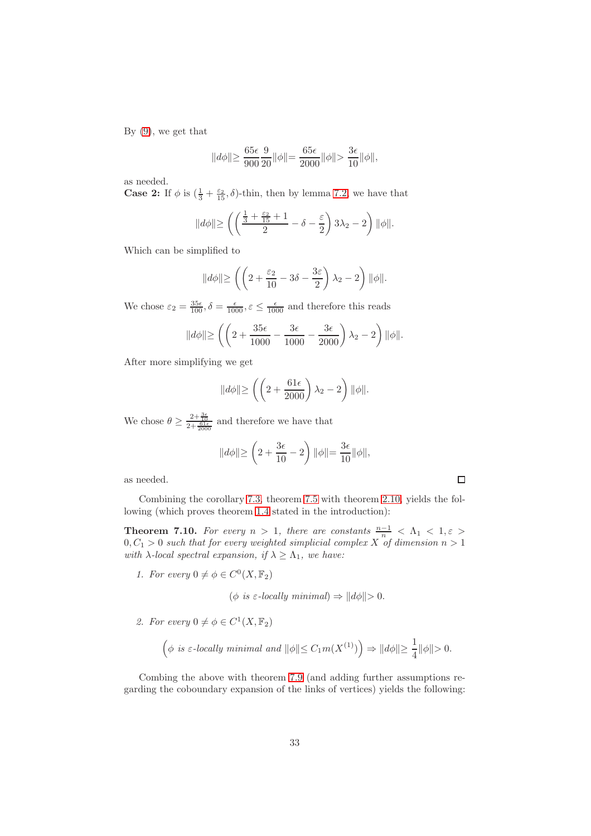By [\(9\)](#page-31-1), we get that

$$
||d\phi|| \ge \frac{65\epsilon}{900} \frac{9}{20} ||\phi|| = \frac{65\epsilon}{2000} ||\phi|| > \frac{3\epsilon}{10} ||\phi||,
$$

as needed.

**Case 2:** If  $\phi$  is  $(\frac{1}{3} + \frac{\varepsilon_2}{15}, \delta)$ -thin, then by lemma [7.2,](#page-19-0) we have that

$$
\|d\phi\| \ge \left( \left( \frac{\frac{1}{3} + \frac{\varepsilon_2}{15} + 1}{2} - \delta - \frac{\varepsilon}{2} \right) 3\lambda_2 - 2 \right) \|\phi\|.
$$

Which can be simplified to

$$
||d\phi|| \ge \left( \left( 2 + \frac{\varepsilon_2}{10} - 3\delta - \frac{3\varepsilon}{2} \right) \lambda_2 - 2 \right) ||\phi||.
$$

We chose  $\varepsilon_2 = \frac{35\epsilon}{100}$ ,  $\delta = \frac{\epsilon}{1000}$ ,  $\varepsilon \le \frac{\epsilon}{1000}$  and therefore this reads

$$
\|d\phi\| \ge \left( \left( 2 + \frac{35\epsilon}{1000} - \frac{3\epsilon}{1000} - \frac{3\epsilon}{2000} \right) \lambda_2 - 2 \right) \|\phi\|.
$$

After more simplifying we get

$$
||d\phi|| \ge \left( \left( 2 + \frac{61\epsilon}{2000} \right) \lambda_2 - 2 \right) ||\phi||.
$$

We chose  $\theta \geq \frac{2+\frac{3\epsilon}{10}}{2+\frac{61\epsilon}{2000}}$  and therefore we have that

$$
||d\phi|| \ge \left(2 + \frac{3\epsilon}{10} - 2\right) ||\phi|| = \frac{3\epsilon}{10} ||\phi||,
$$

as needed.

 $\Box$ 

Combining the corollary [7.3,](#page-21-1) theorem [7.5](#page-23-1) with theorem [2.10,](#page-7-1) yields the following (which proves theorem [1.4](#page-2-0) stated in the introduction):

**Theorem 7.10.** For every  $n > 1$ , there are constants  $\frac{n-1}{n} < \Lambda_1 < 1, \varepsilon >$  $0, C_1 > 0$  such that for every weighted simplicial complex X of dimension  $n > 1$ with  $\lambda$ -local spectral expansion, if  $\lambda \geq \Lambda_1$ , we have:

1. For every  $0 \neq \phi \in C^0(X, \mathbb{F}_2)$ 

 $(\phi \text{ is } \varepsilon\text{-locally minimal}) \Rightarrow ||d\phi|| > 0.$ 

2. For every  $0 \neq \phi \in C^1(X, \mathbb{F}_2)$ 

$$
\left(\phi \text{ is $\varepsilon$-locally minimal and } \|\phi\|\!\leq C_1 m(X^{(1)})\right)\Rightarrow \|d\phi\|\!\geq\frac{1}{4}\|\phi\|\!>\!0.
$$

Combing the above with theorem [7.9](#page-30-0) (and adding further assumptions regarding the coboundary expansion of the links of vertices) yields the following: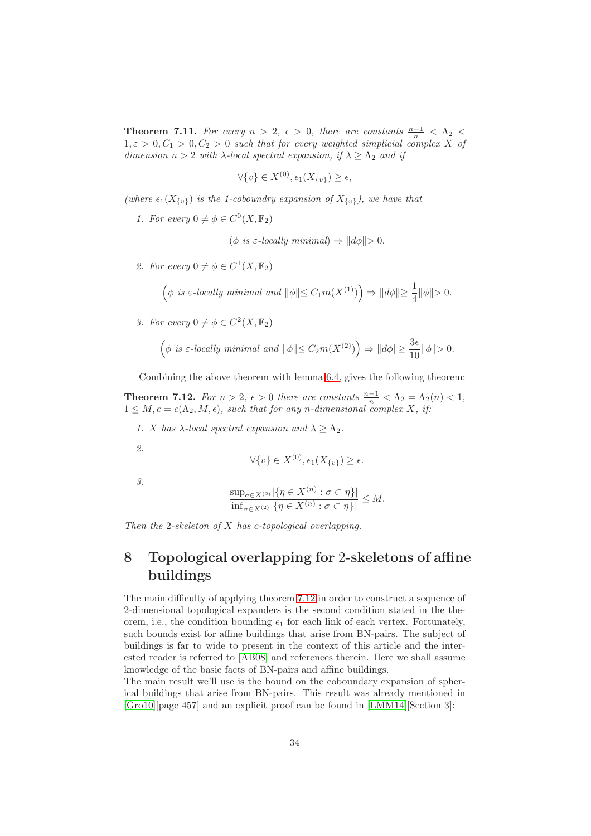**Theorem 7.11.** For every  $n > 2$ ,  $\epsilon > 0$ , there are constants  $\frac{n-1}{n} < \Lambda_2 <$  $1, \varepsilon > 0, C_1 > 0, C_2 > 0$  such that for every weighted simplicial complex X of dimension  $n > 2$  with  $\lambda$ -local spectral expansion, if  $\lambda \geq \Lambda_2$  and if

$$
\forall \{v\} \in X^{(0)}, \epsilon_1(X_{\{v\}}) \ge \epsilon,
$$

(where  $\epsilon_1(X_{\{v\}})$  is the 1-coboundry expansion of  $X_{\{v\}}$ ), we have that

1. For every  $0 \neq \phi \in C^0(X, \mathbb{F}_2)$ 

 $(\phi \text{ is } \varepsilon\text{-locally minimal}) \Rightarrow ||d\phi|| > 0.$ 

2. For every  $0 \neq \phi \in C^1(X, \mathbb{F}_2)$ 

$$
\left(\phi \text{ is } \varepsilon\text{-locally minimal and } \|\phi\|\leq C_1 m(X^{(1)})\right)\Rightarrow \|d\phi\|\geq \frac{1}{4}\|\phi\|>0.
$$

3. For every  $0 \neq \phi \in C^2(X, \mathbb{F}_2)$ 

$$
\left(\phi \text{ is } \varepsilon\text{-locally minimal and } \|\phi\| \le C_2 m(X^{(2)})\right) \Rightarrow \|d\phi\| \ge \frac{3\epsilon}{10}\|\phi\| > 0.
$$

<span id="page-33-0"></span>Combining the above theorem with lemma [6.4,](#page-17-0) gives the following theorem:

**Theorem 7.12.** For  $n > 2$ ,  $\epsilon > 0$  there are constants  $\frac{n-1}{n} < \Lambda_2 = \Lambda_2(n) < 1$ ,  $1 \leq M, c = c(\Lambda_2, M, \epsilon)$ , such that for any n-dimensional complex X, if:

- 1. X has  $\lambda$ -local spectral expansion and  $\lambda \geq \Lambda_2$ .
- 2.

$$
\forall \{v\} \in X^{(0)}, \epsilon_1(X_{\{v\}}) \ge \epsilon.
$$

3.

$$
\frac{\sup_{\sigma \in X^{(2)}} |\{\eta \in X^{(n)} : \sigma \subset \eta\}|}{\inf_{\sigma \in X^{(2)}} |\{\eta \in X^{(n)} : \sigma \subset \eta\}|} \le M.
$$

Then the 2-skeleton of  $X$  has c-topological overlapping.

# 8 Topological overlapping for 2-skeletons of affine buildings

The main difficulty of applying theorem [7.12](#page-33-0) in order to construct a sequence of 2-dimensional topological expanders is the second condition stated in the theorem, i.e., the condition bounding  $\epsilon_1$  for each link of each vertex. Fortunately, such bounds exist for affine buildings that arise from BN-pairs. The subject of buildings is far to wide to present in the context of this article and the interested reader is referred to [\[AB08\]](#page-39-5) and references therein. Here we shall assume knowledge of the basic facts of BN-pairs and affine buildings.

The main result we'll use is the bound on the coboundary expansion of spherical buildings that arise from BN-pairs. This result was already mentioned in [\[Gro10\]](#page-39-0)[page 457] and an explicit proof can be found in [\[LMM14\]](#page-39-6)[Section 3]: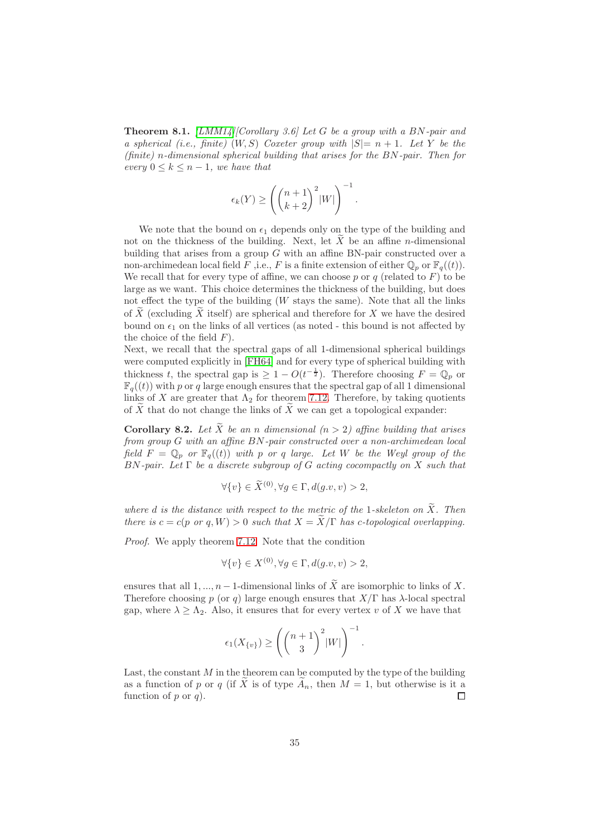**Theorem 8.1.** [\[LMM14\]](#page-39-6)[Corollary 3.6] Let G be a group with a BN-pair and a spherical (i.e., finite)  $(W, S)$  Coxeter group with  $|S|=n+1$ . Let Y be the (finite) n-dimensional spherical building that arises for the BN-pair. Then for every  $0 \leq k \leq n-1$ , we have that

$$
\epsilon_k(Y) \ge \left( \binom{n+1}{k+2}^2 |W| \right)^{-1}
$$

.

We note that the bound on  $\epsilon_1$  depends only on the type of the building and not on the thickness of the building. Next, let  $X$  be an affine *n*-dimensional building that arises from a group G with an affine BN-pair constructed over a non-archimedean local field F, i.e., F is a finite extension of either  $\mathbb{Q}_p$  or  $\mathbb{F}_q((t))$ . We recall that for every type of affine, we can choose  $p$  or  $q$  (related to  $F$ ) to be large as we want. This choice determines the thickness of the building, but does not effect the type of the building  $(W$  stays the same). Note that all the links of  $\tilde{X}$  (excluding  $\tilde{X}$  itself) are spherical and therefore for X we have the desired bound on  $\epsilon_1$  on the links of all vertices (as noted - this bound is not affected by the choice of the field  $F$ ).

Next, we recall that the spectral gaps of all 1-dimensional spherical buildings were computed explicitly in [\[FH64\]](#page-39-7) and for every type of spherical building with thickness t, the spectral gap is  $\geq 1 - O(t^{-\frac{1}{2}})$ . Therefore choosing  $F = \mathbb{Q}_p$  or  $\mathbb{F}_q((t))$  with p or q large enough ensures that the spectral gap of all 1 dimensional links of X are greater that  $\Lambda_2$  for theorem [7.12.](#page-33-0) Therefore, by taking quotients of  $\overline{X}$  that do not change the links of  $\overline{X}$  we can get a topological expander:

**Corollary 8.2.** Let  $\widetilde{X}$  be an n dimensional  $(n > 2)$  affine building that arises from group G with an affine BN-pair constructed over a non-archimedean local field  $F = \mathbb{Q}_p$  or  $\mathbb{F}_q((t))$  with p or q large. Let W be the Weyl group of the  $BN$ -pair. Let  $\Gamma$  be a discrete subgroup of G acting cocompactly on X such that

$$
\forall \{v\} \in \widetilde{X}^{(0)}, \forall g \in \Gamma, d(g.v, v) > 2,
$$

where d is the distance with respect to the metric of the 1-skeleton on  $\widetilde{X}$ . Then there is  $c = c(p \text{ or } q, W) > 0$  such that  $X = \widetilde{X}/\Gamma$  has c-topological overlapping.

Proof. We apply theorem [7.12.](#page-33-0) Note that the condition

$$
\forall \{v\} \in X^{(0)}, \forall g \in \Gamma, d(g.v, v) > 2,
$$

ensures that all 1, ...,  $n-1$ -dimensional links of  $\widetilde{X}$  are isomorphic to links of X. Therefore choosing p (or q) large enough ensures that  $X/\Gamma$  has  $\lambda$ -local spectral gap, where  $\lambda \geq \Lambda_2$ . Also, it ensures that for every vertex v of X we have that

$$
\epsilon_1(X_{\{v\}}) \ge \left( \binom{n+1}{3}^2 |W| \right)^{-1}.
$$

Last, the constant  $M$  in the theorem can be computed by the type of the building as a function of p or q (if X is of type  $A_n$ , then  $M = 1$ , but otherwise is it a function of p or q). function of  $p$  or  $q$ ).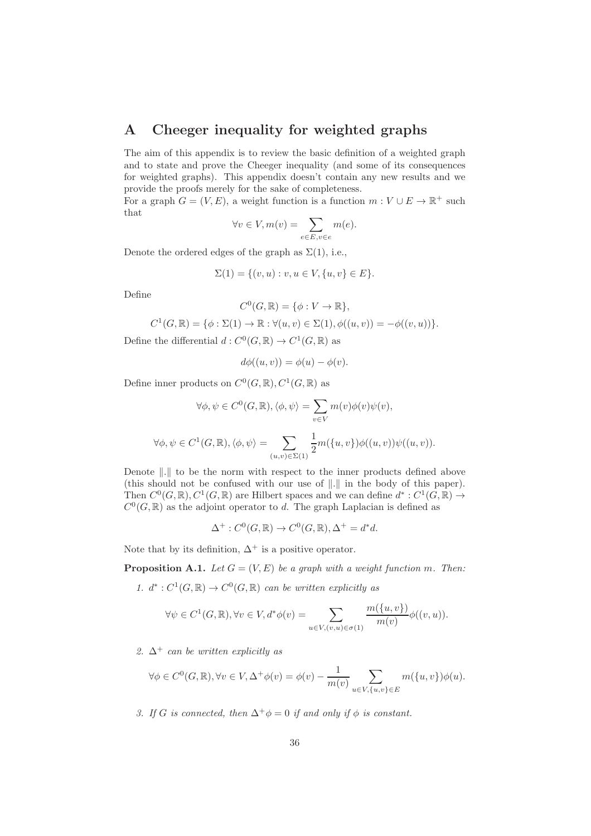# A Cheeger inequality for weighted graphs

The aim of this appendix is to review the basic definition of a weighted graph and to state and prove the Cheeger inequality (and some of its consequences for weighted graphs). This appendix doesn't contain any new results and we provide the proofs merely for the sake of completeness.

For a graph  $G = (V, E)$ , a weight function is a function  $m : V \cup E \to \mathbb{R}^+$  such that

$$
\forall v \in V, m(v) = \sum_{e \in E, v \in e} m(e).
$$

Denote the ordered edges of the graph as  $\Sigma(1)$ , i.e.,

$$
\Sigma(1) = \{(v, u) : v, u \in V, \{u, v\} \in E\}.
$$

Define

$$
C^0(G, \mathbb{R}) = \{ \phi : V \to \mathbb{R} \},
$$

 $C^1(G, \mathbb{R}) = \{ \phi : \Sigma(1) \to \mathbb{R} : \forall (u, v) \in \Sigma(1), \phi((u, v)) = -\phi((v, u)) \}.$ 

Define the differential  $d: C^0(G, \mathbb{R}) \to C^1(G, \mathbb{R})$  as

$$
d\phi((u,v)) = \phi(u) - \phi(v).
$$

Define inner products on  $C^0(G,\mathbb{R})$ ,  $C^1(G,\mathbb{R})$  as

$$
\forall \phi, \psi \in C^{0}(G, \mathbb{R}), \langle \phi, \psi \rangle = \sum_{v \in V} m(v)\phi(v)\psi(v),
$$
  

$$
\forall \phi, \psi \in C^{1}(G, \mathbb{R}), \langle \phi, \psi \rangle = \sum_{(u,v) \in \Sigma(1)} \frac{1}{2} m(\{u, v\}) \phi((u, v)) \psi((u, v)).
$$

Denote  $\|.\|$  to be the norm with respect to the inner products defined above (this should not be confused with our use of  $\|.\|$  in the body of this paper). Then  $C^0(G,\mathbb{R}), C^1(G,\mathbb{R})$  are Hilbert spaces and we can define  $d^*: C^1(G,\mathbb{R}) \to$  $C^0(G,\mathbb{R})$  as the adjoint operator to d. The graph Laplacian is defined as

$$
\Delta^+ : C^0(G, \mathbb{R}) \to C^0(G, \mathbb{R}), \Delta^+ = d^*d.
$$

Note that by its definition,  $\Delta^+$  is a positive operator.

**Proposition A.1.** Let  $G = (V, E)$  be a graph with a weight function m. Then:

1.  $d^*: C^1(G, \mathbb{R}) \to C^0(G, \mathbb{R})$  can be written explicitly as

$$
\forall \psi \in C^{1}(G, \mathbb{R}), \forall v \in V, d^{*}\phi(v) = \sum_{u \in V, (v, u) \in \sigma(1)} \frac{m(\{u, v\})}{m(v)} \phi((v, u)).
$$

2.  $\Delta^+$  can be written explicitly as

$$
\forall \phi \in C^{0}(G, \mathbb{R}), \forall v \in V, \Delta^{+}\phi(v) = \phi(v) - \frac{1}{m(v)} \sum_{u \in V, \{u, v\} \in E} m(\{u, v\})\phi(u).
$$

3. If G is connected, then  $\Delta^+\phi=0$  if and only if  $\phi$  is constant.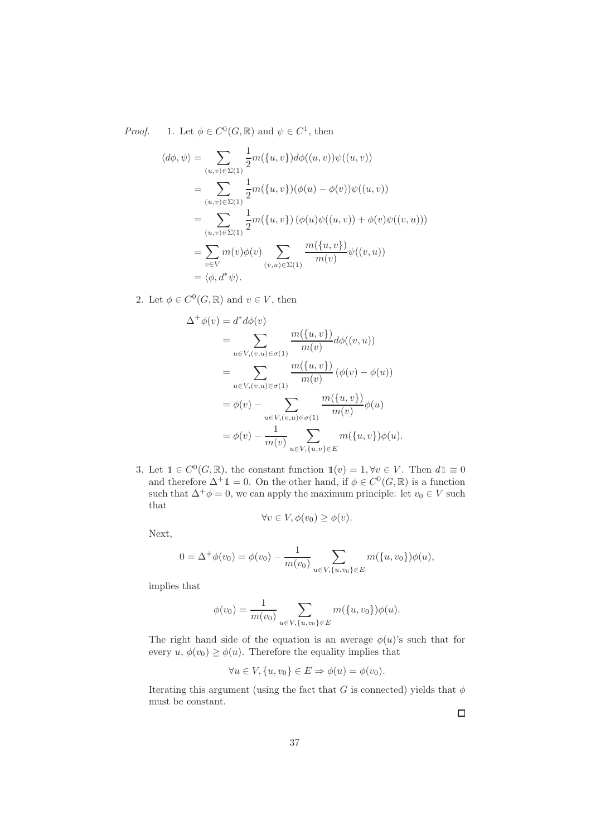*Proof.* 1. Let  $\phi \in C^0(G, \mathbb{R})$  and  $\psi \in C^1$ , then

$$
\langle d\phi, \psi \rangle = \sum_{(u,v) \in \Sigma(1)} \frac{1}{2} m(\{u, v\}) d\phi((u, v)) \psi((u, v))
$$
  
= 
$$
\sum_{(u,v) \in \Sigma(1)} \frac{1}{2} m(\{u, v\}) (\phi(u) - \phi(v)) \psi((u, v))
$$
  
= 
$$
\sum_{(u,v) \in \Sigma(1)} \frac{1}{2} m(\{u, v\}) (\phi(u) \psi((u, v)) + \phi(v) \psi((v, u)))
$$
  
= 
$$
\sum_{v \in V} m(v) \phi(v) \sum_{(v,u) \in \Sigma(1)} \frac{m(\{u, v\})}{m(v)} \psi((v, u))
$$
  
= 
$$
\langle \phi, d^* \psi \rangle.
$$

2. Let  $\phi \in C^0(G, \mathbb{R})$  and  $v \in V$ , then

$$
\Delta^+ \phi(v) = d^* d\phi(v)
$$
  
= 
$$
\sum_{u \in V, (v, u) \in \sigma(1)} \frac{m(\{u, v\})}{m(v)} d\phi((v, u))
$$
  
= 
$$
\sum_{u \in V, (v, u) \in \sigma(1)} \frac{m(\{u, v\})}{m(v)} (\phi(v) - \phi(u))
$$
  
= 
$$
\phi(v) - \sum_{u \in V, (v, u) \in \sigma(1)} \frac{m(\{u, v\})}{m(v)} \phi(u)
$$
  
= 
$$
\phi(v) - \frac{1}{m(v)} \sum_{u \in V, \{u, v\} \in E} m(\{u, v\}) \phi(u).
$$

3. Let  $1 \in C^0(G, \mathbb{R})$ , the constant function  $1(v) = 1, \forall v \in V$ . Then  $d1 \equiv 0$ and therefore  $\Delta^+ \mathbb{1} = 0$ . On the other hand, if  $\phi \in C^0(G, \mathbb{R})$  is a function such that  $\Delta^+\phi=0$ , we can apply the maximum principle: let  $v_0 \in V$  such that

$$
\forall v \in V, \phi(v_0) \ge \phi(v).
$$

Next,

$$
0 = \Delta^+ \phi(v_0) = \phi(v_0) - \frac{1}{m(v_0)} \sum_{u \in V, \{u, v_0\} \in E} m(\{u, v_0\}) \phi(u),
$$

implies that

$$
\phi(v_0) = \frac{1}{m(v_0)} \sum_{u \in V, \{u, v_0\} \in E} m(\{u, v_0\}) \phi(u).
$$

The right hand side of the equation is an average  $\phi(u)$ 's such that for every  $u, \phi(v_0) \ge \phi(u)$ . Therefore the equality implies that

$$
\forall u \in V, \{u, v_0\} \in E \Rightarrow \phi(u) = \phi(v_0).
$$

Iterating this argument (using the fact that G is connected) yields that  $\phi$ must be constant.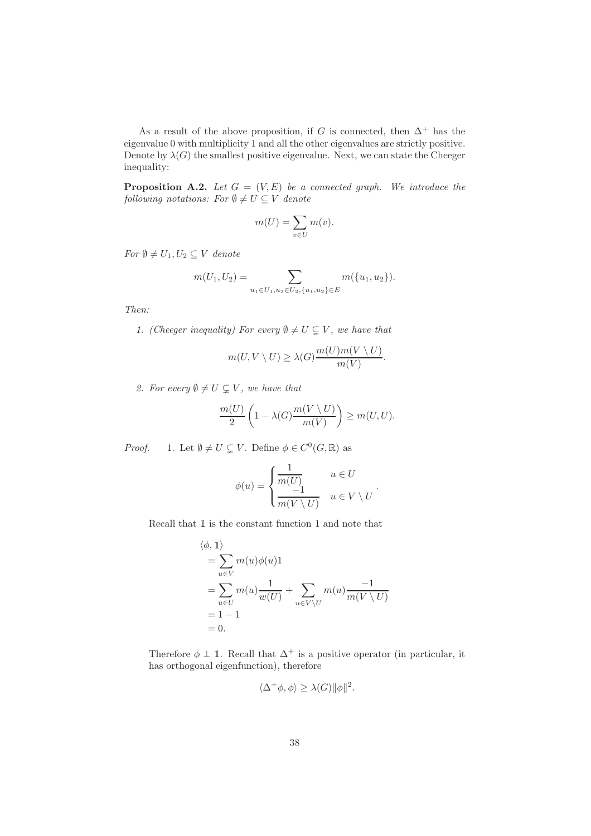As a result of the above proposition, if G is connected, then  $\Delta^+$  has the eigenvalue 0 with multiplicity 1 and all the other eigenvalues are strictly positive. Denote by  $\lambda(G)$  the smallest positive eigenvalue. Next, we can state the Cheeger inequality:

**Proposition A.2.** Let  $G = (V, E)$  be a connected graph. We introduce the following notations: For  $\emptyset \neq U \subseteq V$  denote

$$
m(U) = \sum_{v \in U} m(v).
$$

For  $\emptyset \neq U_1, U_2 \subseteq V$  denote

$$
m(U_1, U_2) = \sum_{u_1 \in U_1, u_2 \in U_2, \{u_1, u_2\} \in E} m(\{u_1, u_2\}).
$$

Then:

1. (Cheeger inequality) For every  $\emptyset \neq U \subsetneq V$ , we have that

$$
m(U, V \setminus U) \ge \lambda(G) \frac{m(U)m(V \setminus U)}{m(V)}.
$$

2. For every  $\emptyset \neq U \subsetneq V$ , we have that

$$
\frac{m(U)}{2}\left(1-\lambda(G)\frac{m(V\setminus U)}{m(V)}\right)\geq m(U,U).
$$

*Proof.* 1. Let  $\emptyset \neq U \subsetneq V$ . Define  $\phi \in C^0(G, \mathbb{R})$  as

$$
\phi(u) = \begin{cases} \frac{1}{m(U)} & u \in U \\ \frac{-1}{m(V \setminus U)} & u \in V \setminus U \end{cases}.
$$

Recall that <sup>1</sup> is the constant function 1 and note that

$$
\langle \phi, \mathbb{1} \rangle
$$
  
= 
$$
\sum_{u \in V} m(u)\phi(u)1
$$
  
= 
$$
\sum_{u \in U} m(u)\frac{1}{w(U)} + \sum_{u \in V \setminus U} m(u)\frac{-1}{m(V \setminus U)}
$$
  
= 1 - 1  
= 0.

Therefore  $\phi \perp \mathbb{1}$ . Recall that  $\Delta^+$  is a positive operator (in particular, it has orthogonal eigenfunction), therefore

$$
\langle \Delta^+ \phi, \phi \rangle \ge \lambda(G) \|\phi\|^2.
$$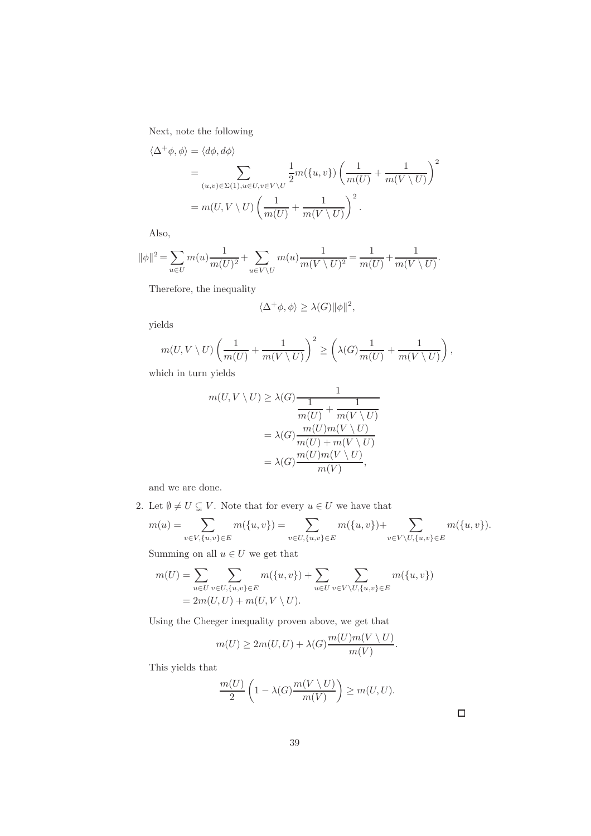Next, note the following

$$
\langle \Delta^+ \phi, \phi \rangle = \langle d\phi, d\phi \rangle
$$
  
= 
$$
\sum_{(u,v) \in \Sigma(1), u \in U, v \in V \setminus U} \frac{1}{2} m(\lbrace u, v \rbrace) \left( \frac{1}{m(U)} + \frac{1}{m(V \setminus U)} \right)^2
$$
  
= 
$$
m(U, V \setminus U) \left( \frac{1}{m(U)} + \frac{1}{m(V \setminus U)} \right)^2.
$$

Also,

$$
\|\phi\|^2 = \sum_{u \in U} m(u) \frac{1}{m(U)^2} + \sum_{u \in V \setminus U} m(u) \frac{1}{m(V \setminus U)^2} = \frac{1}{m(U)} + \frac{1}{m(V \setminus U)}.
$$

Therefore, the inequality

$$
\langle \Delta^+ \phi, \phi \rangle \geq \lambda(G) \|\phi\|^2,
$$

yields

$$
m(U, V \setminus U) \left( \frac{1}{m(U)} + \frac{1}{m(V \setminus U)} \right)^2 \ge \left( \lambda(G) \frac{1}{m(U)} + \frac{1}{m(V \setminus U)} \right),
$$

which in turn yields

$$
m(U, V \setminus U) \ge \lambda(G) \frac{1}{\frac{1}{m(U)} + \frac{1}{m(V \setminus U)}} = \lambda(G) \frac{m(U)m(V \setminus U)}{m(U) + m(V \setminus U)} = \lambda(G) \frac{m(U)m(V \setminus U)}{m(V)},
$$

and we are done.

2. Let  $\emptyset \neq U \subsetneq V$ . Note that for every  $u \in U$  we have that

$$
m(u) = \sum_{v \in V, \{u, v\} \in E} m(\{u, v\}) = \sum_{v \in U, \{u, v\} \in E} m(\{u, v\}) + \sum_{v \in V \setminus U, \{u, v\} \in E} m(\{u, v\}).
$$
  
Summing on all  $u \in U$  we get that

Summing on all  $u \in U$  we get that

$$
m(U) = \sum_{u \in U} \sum_{v \in U, \{u, v\} \in E} m(\{u, v\}) + \sum_{u \in U} \sum_{v \in V \setminus U, \{u, v\} \in E} m(\{u, v\})
$$
  
= 2m(U, U) + m(U, V \setminus U).

Using the Cheeger inequality proven above, we get that

$$
m(U) \ge 2m(U, U) + \lambda(G) \frac{m(U)m(V \setminus U)}{m(V)}.
$$

This yields that

$$
\frac{m(U)}{2}\left(1-\lambda(G)\frac{m(V\setminus U)}{m(V)}\right)\geq m(U,U).
$$